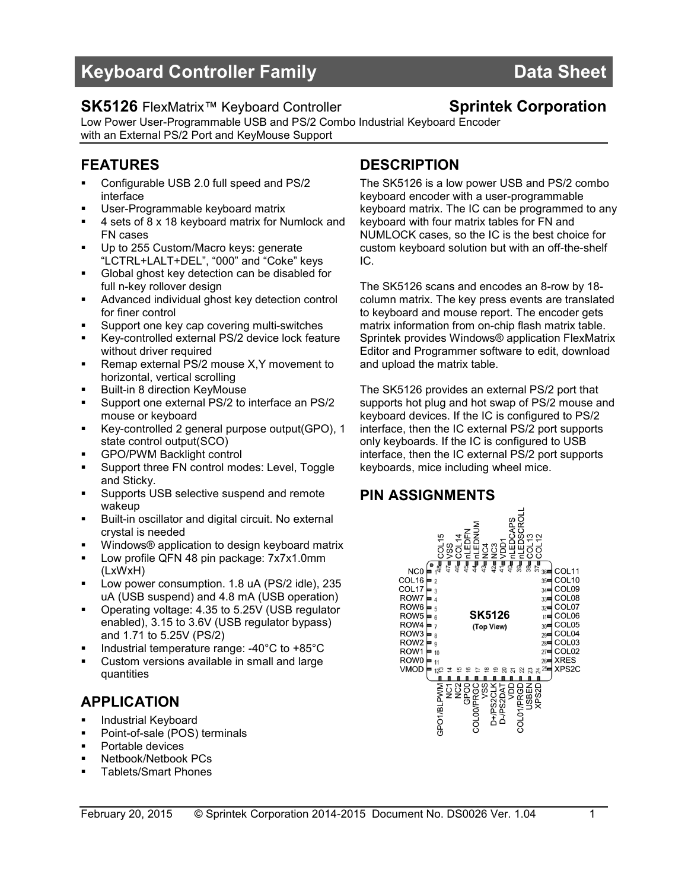# Keyboard Controller Family New York Controller Band Data Sheet

## SK5126 FlexMatrix<sup>™</sup> Keyboard Controller Sprintek Corporation

Low Power User-Programmable USB and PS/2 Combo Industrial Keyboard Encoder with an External PS/2 Port and KeyMouse Support

## FEATURES

- Configurable USB 2.0 full speed and PS/2 interface
- User-Programmable keyboard matrix
- 4 sets of 8 x 18 keyboard matrix for Numlock and FN cases
- Up to 255 Custom/Macro keys: generate "LCTRL+LALT+DEL", "000" and "Coke" keys
- Global ghost key detection can be disabled for full n-key rollover design
- **Advanced individual ghost key detection control** for finer control
- Support one key cap covering multi-switches
- Key-controlled external PS/2 device lock feature without driver required
- **Remap external PS/2 mouse X, Y movement to** horizontal, vertical scrolling
- Built-in 8 direction KeyMouse
- Support one external PS/2 to interface an PS/2 mouse or keyboard
- Key-controlled 2 general purpose output(GPO), 1 state control output(SCO)
- GPO/PWM Backlight control
- Support three FN control modes: Level, Toggle and Sticky.
- Supports USB selective suspend and remote wakeup
- Built-in oscillator and digital circuit. No external crystal is needed
- Windows® application to design keyboard matrix
- Low profile QFN 48 pin package: 7x7x1.0mm (LxWxH)
- **Low power consumption. 1.8 uA (PS/2 idle), 235** uA (USB suspend) and 4.8 mA (USB operation)
- Operating voltage: 4.35 to 5.25V (USB regulator enabled), 3.15 to 3.6V (USB regulator bypass) and 1.71 to 5.25V (PS/2)
- Industrial temperature range: -40°C to +85°C
- Custom versions available in small and large quantities

## APPLICATION

- **Industrial Keyboard**
- Point-of-sale (POS) terminals
- Portable devices
- **Netbook/Netbook PCs**
- Tablets/Smart Phones

## **DESCRIPTION**

The SK5126 is a low power USB and PS/2 combo keyboard encoder with a user-programmable keyboard matrix. The IC can be programmed to any keyboard with four matrix tables for FN and NUMLOCK cases, so the IC is the best choice for custom keyboard solution but with an off-the-shelf IC.

The SK5126 scans and encodes an 8-row by 18 column matrix. The key press events are translated to keyboard and mouse report. The encoder gets matrix information from on-chip flash matrix table. Sprintek provides Windows® application FlexMatrix Editor and Programmer software to edit, download and upload the matrix table.

The SK5126 provides an external PS/2 port that supports hot plug and hot swap of PS/2 mouse and keyboard devices. If the IC is configured to PS/2 interface, then the IC external PS/2 port supports only keyboards. If the IC is configured to USB interface, then the IC external PS/2 port supports keyboards, mice including wheel mice.

## PIN ASSIGNMENTS

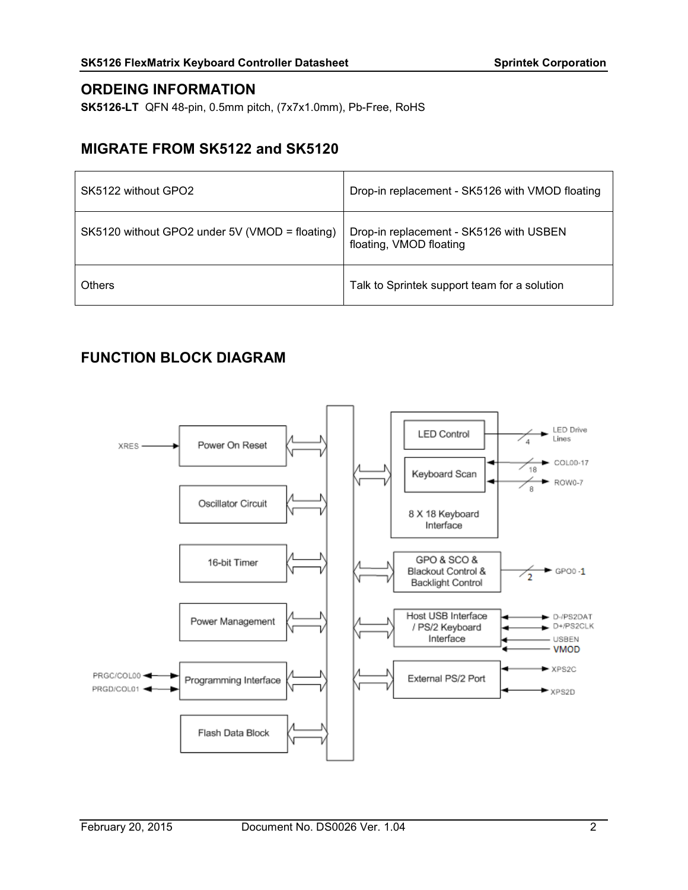## ORDEING INFORMATION

SK5126-LT QFN 48-pin, 0.5mm pitch, (7x7x1.0mm), Pb-Free, RoHS

## MIGRATE FROM SK5122 and SK5120

| SK5122 without GPO2                            | Drop-in replacement - SK5126 with VMOD floating                    |
|------------------------------------------------|--------------------------------------------------------------------|
| SK5120 without GPO2 under 5V (VMOD = floating) | Drop-in replacement - SK5126 with USBEN<br>floating, VMOD floating |
| Others                                         | Talk to Sprintek support team for a solution                       |

## FUNCTION BLOCK DIAGRAM

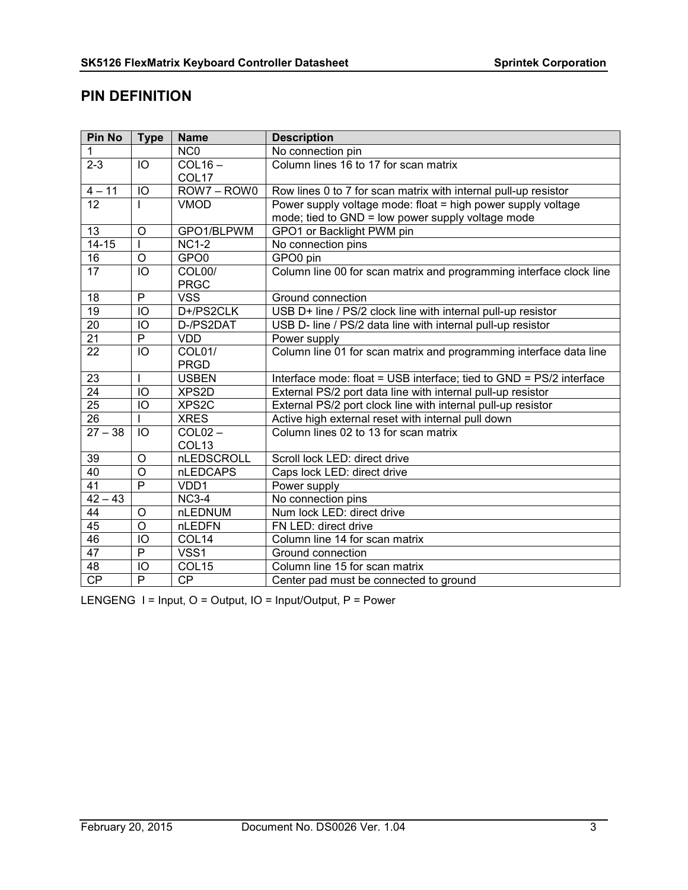## PIN DEFINITION

| Pin No          | <b>Type</b>    | <b>Name</b>       | <b>Description</b>                                                  |
|-----------------|----------------|-------------------|---------------------------------------------------------------------|
| 1               |                | NC <sub>0</sub>   | No connection pin                                                   |
| $2 - 3$         | IO             | $COL16 -$         | Column lines 16 to 17 for scan matrix                               |
|                 |                | COL <sub>17</sub> |                                                                     |
| $4 - 11$        | IO             | ROW7-ROW0         | Row lines 0 to 7 for scan matrix with internal pull-up resistor     |
| $\overline{12}$ |                | <b>VMOD</b>       | Power supply voltage mode: float = high power supply voltage        |
|                 |                |                   | mode; tied to GND = low power supply voltage mode                   |
| 13              | $\circ$        | GPO1/BLPWM        | GPO1 or Backlight PWM pin                                           |
| $14 - 15$       |                | $NC1-2$           | No connection pins                                                  |
| 16              | $\circ$        | GPO <sub>0</sub>  | GPO0 pin                                                            |
| 17              | IO             | COL00/            | Column line 00 for scan matrix and programming interface clock line |
|                 |                | <b>PRGC</b>       |                                                                     |
| 18              | $\mathsf{P}$   | <b>VSS</b>        | Ground connection                                                   |
| $\overline{19}$ | IO             | D+/PS2CLK         | USB D+ line / PS/2 clock line with internal pull-up resistor        |
| 20              | IO             | D-/PS2DAT         | USB D- line / PS/2 data line with internal pull-up resistor         |
| $\overline{21}$ | $\overline{P}$ | <b>VDD</b>        | Power supply                                                        |
| $\overline{22}$ | IO             | COL01/            | Column line 01 for scan matrix and programming interface data line  |
|                 |                | <b>PRGD</b>       |                                                                     |
| 23              | I              | <b>USBEN</b>      | Interface mode: float = USB interface; tied to GND = PS/2 interface |
| $\overline{24}$ | IO             | XPS2D             | External PS/2 port data line with internal pull-up resistor         |
| $\overline{25}$ | IO             | XPS2C             | External PS/2 port clock line with internal pull-up resistor        |
| $\overline{26}$ |                | <b>XRES</b>       | Active high external reset with internal pull down                  |
| $27 - 38$       | IO             | $COL02 -$         | Column lines 02 to 13 for scan matrix                               |
|                 |                | COL <sub>13</sub> |                                                                     |
| 39              | $\overline{O}$ | nLEDSCROLL        | Scroll lock LED: direct drive                                       |
| 40              | $\circ$        | nLEDCAPS          | Caps lock LED: direct drive                                         |
| 41              | $\overline{P}$ | VDD1              | Power supply                                                        |
| $42 - 43$       |                | $NC3-4$           | No connection pins                                                  |
| $\overline{44}$ | $\circ$        | nLEDNUM           | Num lock LED: direct drive                                          |
| $\overline{45}$ | $\overline{O}$ | nLEDFN            | FN LED: direct drive                                                |
| 46              | IO             | COL14             | Column line 14 for scan matrix                                      |
| 47              | P              | VSS1              | Ground connection                                                   |
| 48              | IO             | COL <sub>15</sub> | Column line 15 for scan matrix                                      |
| CP              | $\overline{P}$ | <b>CP</b>         | Center pad must be connected to ground                              |

LENGENG I = Input, O = Output, IO = Input/Output, P = Power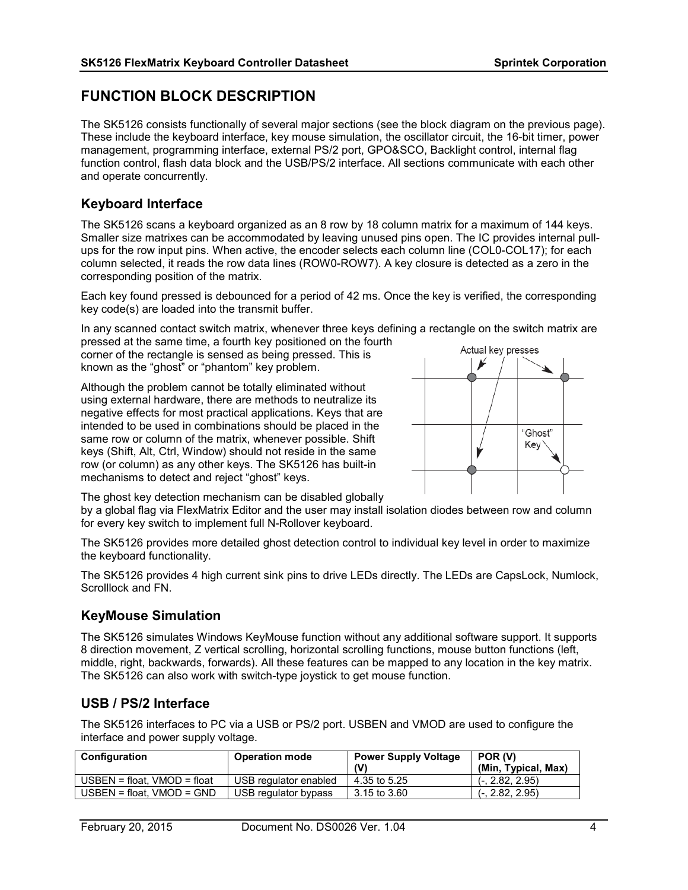## FUNCTION BLOCK DESCRIPTION

The SK5126 consists functionally of several major sections (see the block diagram on the previous page). These include the keyboard interface, key mouse simulation, the oscillator circuit, the 16-bit timer, power management, programming interface, external PS/2 port, GPO&SCO, Backlight control, internal flag function control, flash data block and the USB/PS/2 interface. All sections communicate with each other and operate concurrently.

### Keyboard Interface

The SK5126 scans a keyboard organized as an 8 row by 18 column matrix for a maximum of 144 keys. Smaller size matrixes can be accommodated by leaving unused pins open. The IC provides internal pullups for the row input pins. When active, the encoder selects each column line (COL0-COL17); for each column selected, it reads the row data lines (ROW0-ROW7). A key closure is detected as a zero in the corresponding position of the matrix.

Each key found pressed is debounced for a period of 42 ms. Once the key is verified, the corresponding key code(s) are loaded into the transmit buffer.

In any scanned contact switch matrix, whenever three keys defining a rectangle on the switch matrix are pressed at the same time, a fourth key positioned on the fourth

corner of the rectangle is sensed as being pressed. This is known as the "ghost" or "phantom" key problem.

Although the problem cannot be totally eliminated without using external hardware, there are methods to neutralize its negative effects for most practical applications. Keys that are intended to be used in combinations should be placed in the same row or column of the matrix, whenever possible. Shift keys (Shift, Alt, Ctrl, Window) should not reside in the same row (or column) as any other keys. The SK5126 has built-in mechanisms to detect and reject "ghost" keys.



The ghost key detection mechanism can be disabled globally

by a global flag via FlexMatrix Editor and the user may install isolation diodes between row and column for every key switch to implement full N-Rollover keyboard.

The SK5126 provides more detailed ghost detection control to individual key level in order to maximize the keyboard functionality.

The SK5126 provides 4 high current sink pins to drive LEDs directly. The LEDs are CapsLock, Numlock, Scrolllock and FN.

## KeyMouse Simulation

The SK5126 simulates Windows KeyMouse function without any additional software support. It supports 8 direction movement, Z vertical scrolling, horizontal scrolling functions, mouse button functions (left, middle, right, backwards, forwards). All these features can be mapped to any location in the key matrix. The SK5126 can also work with switch-type joystick to get mouse function.

## USB / PS/2 Interface

The SK5126 interfaces to PC via a USB or PS/2 port. USBEN and VMOD are used to configure the interface and power supply voltage.

| <b>Configuration</b>          | <b>Operation mode</b> | <b>Power Supply Voltage</b><br>(V) | POR (V)<br>(Min, Typical, Max) |
|-------------------------------|-----------------------|------------------------------------|--------------------------------|
| $USBEN = float. VMOD = float$ | USB regulator enabled | 4.35 to 5.25                       | $(-, 2.82, 2.95)$              |
| $USBEN = float. VMOD = GND$   | USB regulator bypass  | 3.15 to 3.60                       | $(-, 2.82, 2.95)$              |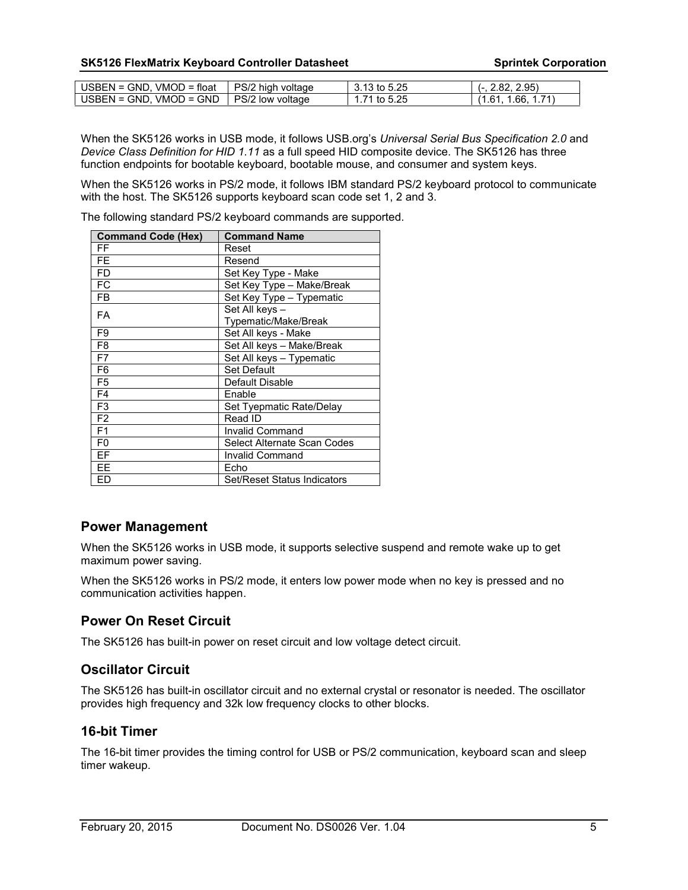| $USBEN = GND$ . $VMOD = float$ | PS/2 high voltage | 3.13 to 5.25 | 2.95)<br>2.82.       |
|--------------------------------|-------------------|--------------|----------------------|
| $USBEN = GND$ . $VMOD = GND$   | PS/2 low voltage  | 1.71 to 5.25 | 1.66, 1.71<br>(1.61) |

When the SK5126 works in USB mode, it follows USB.org's *Universal Serial Bus Specification 2.0* and *Device Class Definition for HID 1.11* as a full speed HID composite device. The SK5126 has three function endpoints for bootable keyboard, bootable mouse, and consumer and system keys.

When the SK5126 works in PS/2 mode, it follows IBM standard PS/2 keyboard protocol to communicate with the host. The SK5126 supports keyboard scan code set 1, 2 and 3.

The following standard PS/2 keyboard commands are supported.

| <b>Command Code (Hex)</b> | <b>Command Name</b>         |
|---------------------------|-----------------------------|
| FF                        | Reset                       |
| <b>FE</b>                 | Resend                      |
| <b>FD</b>                 | Set Key Type - Make         |
| FC                        | Set Key Type - Make/Break   |
| <b>FB</b>                 | Set Key Type - Typematic    |
| <b>FA</b>                 | Set All keys -              |
|                           | Typematic/Make/Break        |
| F9                        | Set All keys - Make         |
| F <sub>8</sub>            | Set All keys - Make/Break   |
| F7                        | Set All keys - Typematic    |
| F <sub>6</sub>            | Set Default                 |
| F <sub>5</sub>            | Default Disable             |
| F <sub>4</sub>            | Enable                      |
| F <sub>3</sub>            | Set Tyepmatic Rate/Delay    |
| F <sub>2</sub>            | Read ID                     |
| F <sub>1</sub>            | <b>Invalid Command</b>      |
| F <sub>0</sub>            | Select Alternate Scan Codes |
| EF                        | <b>Invalid Command</b>      |
| EE                        | Echo                        |
| ED                        | Set/Reset Status Indicators |

#### Power Management

When the SK5126 works in USB mode, it supports selective suspend and remote wake up to get maximum power saving.

When the SK5126 works in PS/2 mode, it enters low power mode when no key is pressed and no communication activities happen.

## Power On Reset Circuit

The SK5126 has built-in power on reset circuit and low voltage detect circuit.

## Oscillator Circuit

The SK5126 has built-in oscillator circuit and no external crystal or resonator is needed. The oscillator provides high frequency and 32k low frequency clocks to other blocks.

#### 16-bit Timer

The 16-bit timer provides the timing control for USB or PS/2 communication, keyboard scan and sleep timer wakeup.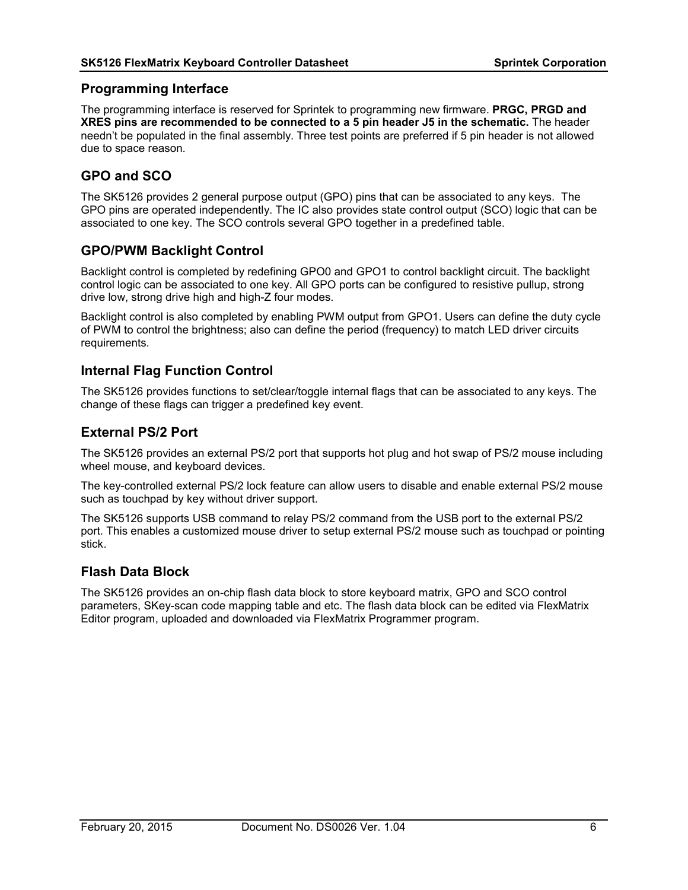#### Programming Interface

The programming interface is reserved for Sprintek to programming new firmware. **PRGC, PRGD and** XRES pins are recommended to be connected to a 5 pin header J5 in the schematic. The header needn't be populated in the final assembly. Three test points are preferred if 5 pin header is not allowed due to space reason.

## GPO and SCO

The SK5126 provides 2 general purpose output (GPO) pins that can be associated to any keys. The GPO pins are operated independently. The IC also provides state control output (SCO) logic that can be associated to one key. The SCO controls several GPO together in a predefined table.

#### GPO/PWM Backlight Control

Backlight control is completed by redefining GPO0 and GPO1 to control backlight circuit. The backlight control logic can be associated to one key. All GPO ports can be configured to resistive pullup, strong drive low, strong drive high and high-Z four modes.

Backlight control is also completed by enabling PWM output from GPO1. Users can define the duty cycle of PWM to control the brightness; also can define the period (frequency) to match LED driver circuits requirements.

#### Internal Flag Function Control

The SK5126 provides functions to set/clear/toggle internal flags that can be associated to any keys. The change of these flags can trigger a predefined key event.

#### External PS/2 Port

The SK5126 provides an external PS/2 port that supports hot plug and hot swap of PS/2 mouse including wheel mouse, and keyboard devices.

The key-controlled external PS/2 lock feature can allow users to disable and enable external PS/2 mouse such as touchpad by key without driver support.

The SK5126 supports USB command to relay PS/2 command from the USB port to the external PS/2 port. This enables a customized mouse driver to setup external PS/2 mouse such as touchpad or pointing stick.

#### Flash Data Block

The SK5126 provides an on-chip flash data block to store keyboard matrix, GPO and SCO control parameters, SKey-scan code mapping table and etc. The flash data block can be edited via FlexMatrix Editor program, uploaded and downloaded via FlexMatrix Programmer program.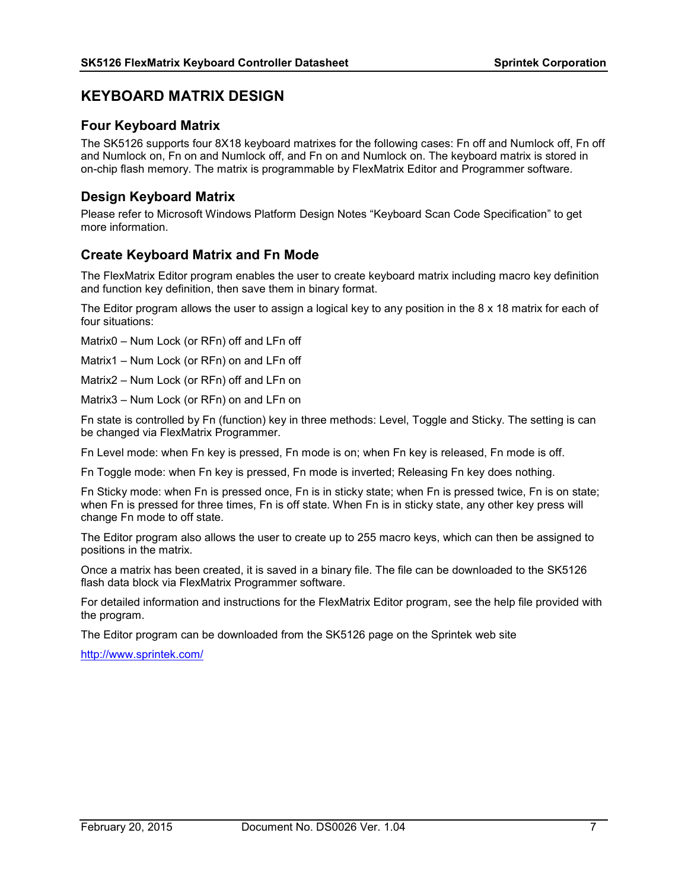## KEYBOARD MATRIX DESIGN

### Four Keyboard Matrix

The SK5126 supports four 8X18 keyboard matrixes for the following cases: Fn off and Numlock off, Fn off and Numlock on, Fn on and Numlock off, and Fn on and Numlock on. The keyboard matrix is stored in on-chip flash memory. The matrix is programmable by FlexMatrix Editor and Programmer software.

## Design Keyboard Matrix

Please refer to Microsoft Windows Platform Design Notes "Keyboard Scan Code Specification" to get more information.

## Create Keyboard Matrix and Fn Mode

The FlexMatrix Editor program enables the user to create keyboard matrix including macro key definition and function key definition, then save them in binary format.

The Editor program allows the user to assign a logical key to any position in the 8 x 18 matrix for each of four situations:

Matrix0 – Num Lock (or RFn) off and LFn off

Matrix1 – Num Lock (or RFn) on and LFn off

Matrix2 – Num Lock (or RFn) off and LFn on

Matrix3 – Num Lock (or RFn) on and LFn on

Fn state is controlled by Fn (function) key in three methods: Level, Toggle and Sticky. The setting is can be changed via FlexMatrix Programmer.

Fn Level mode: when Fn key is pressed, Fn mode is on; when Fn key is released, Fn mode is off.

Fn Toggle mode: when Fn key is pressed, Fn mode is inverted; Releasing Fn key does nothing.

Fn Sticky mode: when Fn is pressed once, Fn is in sticky state; when Fn is pressed twice, Fn is on state; when Fn is pressed for three times, Fn is off state. When Fn is in sticky state, any other key press will change Fn mode to off state.

The Editor program also allows the user to create up to 255 macro keys, which can then be assigned to positions in the matrix.

Once a matrix has been created, it is saved in a binary file. The file can be downloaded to the SK5126 flash data block via FlexMatrix Programmer software.

For detailed information and instructions for the FlexMatrix Editor program, see the help file provided with the program.

The Editor program can be downloaded from the SK5126 page on the Sprintek web site

http://www.sprintek.com/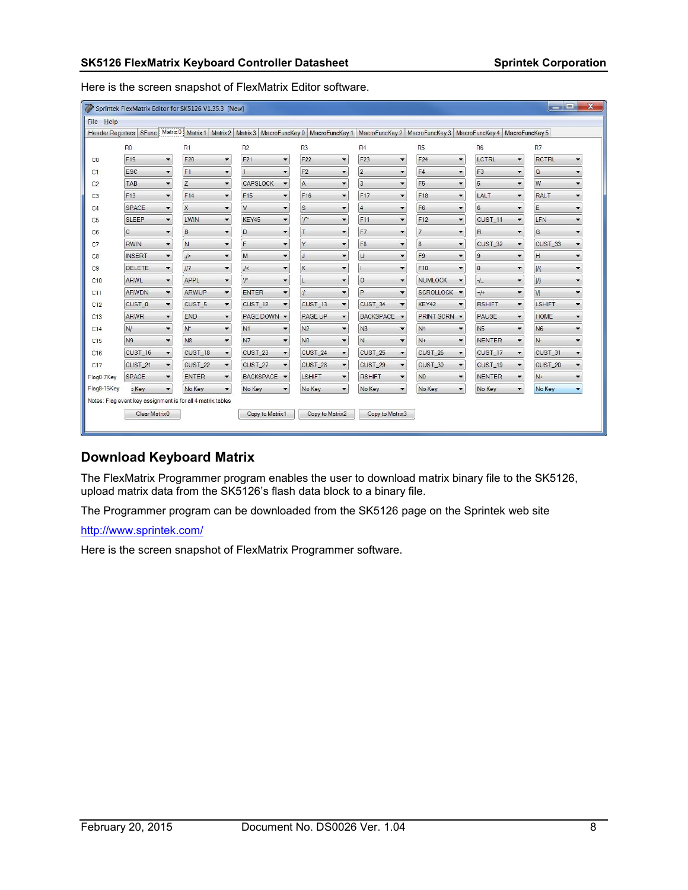Here is the screen snapshot of FlexMatrix Editor software.

|                | $\mathbf x$<br>$\blacksquare$<br>Sprintek FlexMatrix Editor for SK5126 V1.35.3 [New] |                          |                                                             |                          |                                                                                                                                                                                    |                 |                          |                     |                          |                                            |                    |                          |                           |                          |
|----------------|--------------------------------------------------------------------------------------|--------------------------|-------------------------------------------------------------|--------------------------|------------------------------------------------------------------------------------------------------------------------------------------------------------------------------------|-----------------|--------------------------|---------------------|--------------------------|--------------------------------------------|--------------------|--------------------------|---------------------------|--------------------------|
| Help<br>File   |                                                                                      |                          |                                                             |                          |                                                                                                                                                                                    |                 |                          |                     |                          |                                            |                    |                          |                           |                          |
|                |                                                                                      |                          |                                                             |                          | Header Registers SFunc Matrix 0 Matrix 1 Matrix 2 Matrix 3 MacroFuncKey 0 MacroFuncKey 1 MacroFuncKey 2 MacroFuncKey 3 MacroFuncKey 4 MacroFuncKey 4 MacroFuncKey 4 MacroFuncKey 5 |                 |                          |                     |                          |                                            |                    |                          |                           |                          |
|                | R <sub>0</sub>                                                                       |                          | R1                                                          |                          | R2                                                                                                                                                                                 | R <sub>3</sub>  |                          | R <sub>4</sub>      |                          | <b>R5</b>                                  | <b>R6</b>          |                          | R7                        |                          |
| CO             | F19                                                                                  | $\blacktriangledown$     | F20                                                         | $\blacktriangledown$     | F21<br>$\blacktriangledown$                                                                                                                                                        | F <sub>22</sub> | $\blacktriangledown$     | F <sub>23</sub>     | $\blacktriangledown$     | F24<br>$\blacktriangledown$                | LCTRL              | $\overline{\phantom{a}}$ | <b>RCTRL</b>              |                          |
| C1             | ESC                                                                                  | ▼                        | F <sub>1</sub>                                              | $\overline{\phantom{a}}$ | ٠                                                                                                                                                                                  | F <sub>2</sub>  | ▼                        | $\overline{c}$      | $\overline{\phantom{a}}$ | F4<br>$\blacktriangledown$                 | F <sub>3</sub>     | ▼                        | $\mathsf Q$               | ۰.                       |
| C <sub>2</sub> | TAB                                                                                  | ▼                        | Z                                                           | $\blacktriangledown$     | <b>CAPSLOCK</b><br>$\overline{\phantom{a}}$                                                                                                                                        | $\overline{A}$  | $\overline{\phantom{a}}$ | $\overline{3}$<br>۰ |                          | F <sub>5</sub><br>$\blacktriangledown$     | 5                  | ▼                        | W                         | $\overline{\phantom{a}}$ |
| C <sub>3</sub> | F13                                                                                  | $\overline{\phantom{a}}$ | F14                                                         | $\overline{\phantom{a}}$ | F <sub>15</sub><br>$\overline{\phantom{0}}$                                                                                                                                        | F16             | $\blacktriangledown$     | F17                 | $\overline{\phantom{a}}$ | F18<br>$\blacktriangledown$                | LALT               | $\overline{\phantom{a}}$ | <b>RALT</b>               | $\overline{\phantom{a}}$ |
| C4             | <b>SPACE</b>                                                                         | $\blacktriangledown$     | X                                                           | $\overline{\phantom{a}}$ | V<br>$\blacktriangledown$                                                                                                                                                          | $\mathbf S$     | $\overline{\phantom{a}}$ | $\overline{4}$      | $\overline{\phantom{a}}$ | F <sub>6</sub><br>▼                        | 6                  | $\blacktriangledown$     | E                         | ۰                        |
| C <sub>5</sub> | <b>SLEEP</b>                                                                         | $\overline{\phantom{0}}$ | <b>LWIN</b>                                                 | $\blacktriangledown$     | $\overline{\phantom{0}}$<br>KEY45                                                                                                                                                  | $\cdot r$       | ٠                        | F11                 | $\overline{\phantom{0}}$ | F12<br>$\blacktriangledown$                | CUST <sub>11</sub> | $\overline{\phantom{0}}$ | LFN                       | ۰                        |
| C <sub>6</sub> | C                                                                                    | $\blacktriangledown$     | B                                                           | $\blacktriangledown$     | D<br>$\blacktriangledown$                                                                                                                                                          |                 | $\overline{\phantom{a}}$ | F7                  | $\overline{\phantom{a}}$ | $\overline{7}$<br>$\blacktriangledown$     | R                  | $\overline{\phantom{0}}$ | G                         | $\blacktriangledown$     |
| C7             | <b>RWIN</b>                                                                          | $\blacktriangledown$     | N                                                           | $\blacktriangledown$     | F<br>$\blacktriangledown$                                                                                                                                                          | Y               | $\blacktriangledown$     | F <sub>8</sub>      | $\blacktriangledown$     | $\boldsymbol{8}$<br>$\blacktriangledown$   | CUST_32            | $\overline{\phantom{0}}$ | CUST_33                   | $\blacktriangledown$     |
| C8             | <b>INSERT</b>                                                                        | $\overline{\phantom{a}}$ | $\rightarrow$                                               | $\blacktriangledown$     | M<br>$\overline{\phantom{0}}$                                                                                                                                                      |                 |                          | $\cup$              | $\overline{\phantom{a}}$ | F <sub>9</sub><br>$\overline{\phantom{a}}$ | 9                  | $\overline{\phantom{0}}$ | H                         | ٠                        |
| C <sub>9</sub> | DELETE                                                                               | $\overline{\phantom{a}}$ | $II$ ?                                                      | $\blacktriangledown$     | $\sqrt{2}$<br>$\overline{\phantom{a}}$                                                                                                                                             | K               |                          | ۰                   |                          | F10<br>$\overline{\phantom{a}}$            | $\pmb{0}$          | ▼                        | <b>V</b>                  | ٠                        |
| C10            | <b>ARWL</b>                                                                          | $\blacktriangledown$     | APPL                                                        | $\blacktriangledown$     | T'<br>$\overline{\phantom{a}}$                                                                                                                                                     | L               | $\overline{\phantom{a}}$ | $\circ$             | $\blacktriangledown$     | <b>NUMLOCK</b><br>$\overline{\phantom{a}}$ | $-1$               | $\overline{\phantom{0}}$ | $\vert \mathcal{V} \vert$ | $\blacktriangledown$     |
| C11            | <b>ARWDN</b>                                                                         | $\overline{\phantom{a}}$ | <b>ARWUP</b>                                                | $\blacktriangledown$     | <b>ENTER</b><br>$\blacktriangledown$                                                                                                                                               |                 | ▼                        | P                   | $\blacktriangledown$     | SCROLLOCK -                                | $=$ /+             | $\overline{\phantom{a}}$ | M                         | $\overline{\phantom{a}}$ |
| C12            | CUST_0                                                                               | $\blacktriangledown$     | CUST_5                                                      | $\blacktriangledown$     | CUST_12<br>۰                                                                                                                                                                       | CUST_13         | $\overline{\phantom{a}}$ | CUST_34             | $\overline{\phantom{a}}$ | KEY42<br>$\overline{\phantom{a}}$          | <b>RSHIFT</b>      | ▼                        | <b>LSHIFT</b>             | ۰                        |
| C13            | <b>ARWR</b>                                                                          | ▼                        | <b>END</b>                                                  | $\blacktriangledown$     | <b>PAGE DOWN</b><br>$\blacktriangledown$                                                                                                                                           | PAGE UP         | $\checkmark$             | <b>BACKSPACE</b>    |                          | PRINT SCRN                                 | PAUSE              | $\overline{\phantom{0}}$ | <b>HOME</b>               | $\overline{\phantom{a}}$ |
| C14            | N/                                                                                   | $\blacktriangledown$     | $N^*$                                                       | $\blacktriangledown$     | N1<br>$\blacktriangledown$                                                                                                                                                         | N <sub>2</sub>  | $\blacktriangledown$     | N <sub>3</sub>      | $\blacktriangledown$     | N <sub>4</sub><br>▼                        | N <sub>5</sub>     | ▼                        | N <sub>6</sub>            | ۰                        |
| C15            | N <sub>9</sub>                                                                       | ▼                        | N <sub>8</sub>                                              | $\blacktriangledown$     | N <sub>7</sub><br>$\overline{\phantom{a}}$                                                                                                                                         | N <sub>0</sub>  | $\overline{\phantom{a}}$ | N.                  | $\overline{\phantom{a}}$ | $N+$<br>$\blacktriangledown$               | <b>NENTER</b>      | ▼                        | $N-$                      | ▼                        |
| C16            | CUST_16                                                                              | $\overline{\phantom{a}}$ | CUST_18                                                     | $\blacktriangledown$     | CUST_23<br>$\blacktriangledown$                                                                                                                                                    | CUST_24         | $\blacktriangledown$     | CUST_25             | $\overline{\phantom{a}}$ | CUST_26<br>$\blacktriangledown$            | CUST_17            | $\blacktriangledown$     | CUST_31                   | $\overline{\phantom{a}}$ |
| C17            | CUST_21                                                                              | $\blacktriangledown$     | CUST_22                                                     | $\blacktriangledown$     | CUST_27<br>$\overline{\phantom{a}}$                                                                                                                                                | CUST_28         | $\blacktriangledown$     | CUST_29             | $\overline{\phantom{a}}$ | CUST_30<br>$\blacktriangledown$            | CUST_19            | $\blacktriangledown$     | CUST_20                   | $\blacktriangledown$     |
| Flag0-7Key     | <b>SPACE</b>                                                                         | ▼                        | <b>ENTER</b>                                                | $\blacktriangledown$     | <b>BACKSPACE</b><br>$\blacktriangledown$                                                                                                                                           | <b>LSHIFT</b>   | $\blacktriangledown$     | <b>RSHIFT</b>       | $\overline{\phantom{a}}$ | N <sub>0</sub><br>$\blacktriangledown$     | <b>NENTER</b>      | $\overline{\phantom{a}}$ | $N+$                      | $\overline{\phantom{a}}$ |
| Flag8-15Key    | <b>b</b> Key                                                                         | $\blacktriangledown$     | No Key                                                      | $\blacktriangledown$     | No Key<br>$\blacktriangledown$                                                                                                                                                     | No Key          | $\overline{\phantom{a}}$ | No Key              | ▼                        | No Key<br>$\blacktriangledown$             | No Key             | $\overline{\phantom{0}}$ | No Key                    | $\overline{\phantom{a}}$ |
|                |                                                                                      |                          | Notes: Flaq event key assignment is for all 4 matrix tables |                          |                                                                                                                                                                                    |                 |                          |                     |                          |                                            |                    |                          |                           |                          |
|                | Clear Matrix <sub>0</sub>                                                            |                          |                                                             |                          | Copy to Matrix 1                                                                                                                                                                   | Copy to Matrix2 |                          | Copy to Matrix3     |                          |                                            |                    |                          |                           |                          |
|                |                                                                                      |                          |                                                             |                          |                                                                                                                                                                                    |                 |                          |                     |                          |                                            |                    |                          |                           |                          |

## Download Keyboard Matrix

The FlexMatrix Programmer program enables the user to download matrix binary file to the SK5126, upload matrix data from the SK5126's flash data block to a binary file.

The Programmer program can be downloaded from the SK5126 page on the Sprintek web site

http://www.sprintek.com/

Here is the screen snapshot of FlexMatrix Programmer software.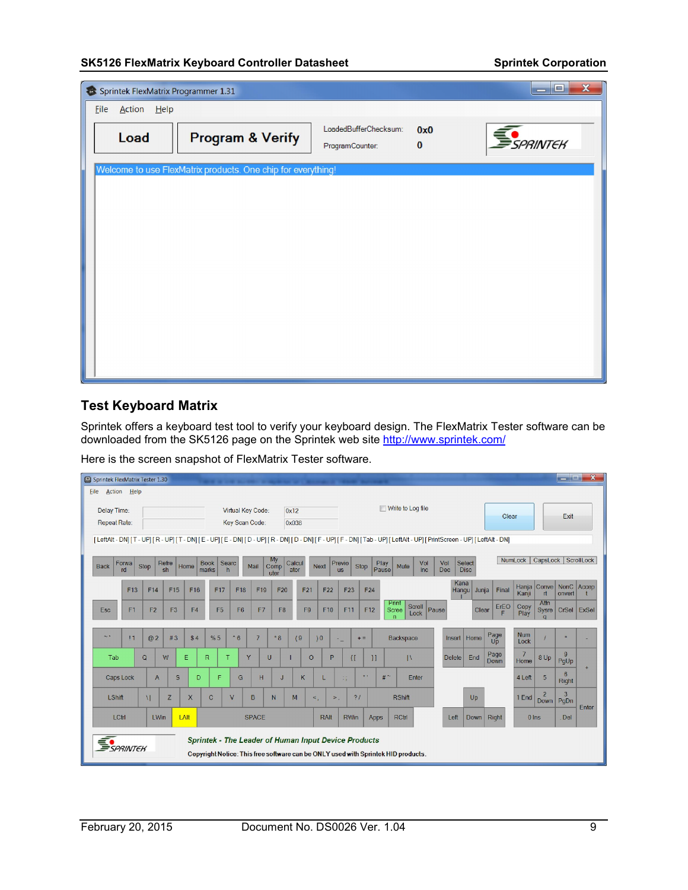|      |             | Sprintek FlexMatrix Programmer 1.31                          |                                          |                 | $\mathbf x$<br>ا کا د  |
|------|-------------|--------------------------------------------------------------|------------------------------------------|-----------------|------------------------|
| Eile | Action Help |                                                              |                                          |                 |                        |
|      | Load        | <b>Program &amp; Verify</b>                                  | LoadedBufferChecksum:<br>ProgramCounter: | 0x0<br>$\bf{0}$ | <i><b>SPRINTEK</b></i> |
|      |             | Welcome to use FlexMatrix products. One chip for everything! |                                          |                 |                        |
|      |             |                                                              |                                          |                 |                        |
|      |             |                                                              |                                          |                 |                        |
|      |             |                                                              |                                          |                 |                        |
|      |             |                                                              |                                          |                 |                        |
|      |             |                                                              |                                          |                 |                        |
|      |             |                                                              |                                          |                 |                        |
|      |             |                                                              |                                          |                 |                        |
|      |             |                                                              |                                          |                 |                        |
|      |             |                                                              |                                          |                 |                        |
|      |             |                                                              |                                          |                 |                        |

## Test Keyboard Matrix

Sprintek offers a keyboard test tool to verify your keyboard design. The FlexMatrix Tester software can be downloaded from the SK5126 page on the Sprintek web site <u>http://www.sprintek.com/</u>

Here is the screen snapshot of FlexMatrix Tester software.

| Sprintek FlexMatrix Tester 1.30 |                    |                |                |                |                                                             |                |                   |                    |                 |                 |                     |       |                      |                                                                                                                                                             |               |                       |                        |                    |                              | <b>The Second Second</b> | $\mathbf{x}$ |
|---------------------------------|--------------------|----------------|----------------|----------------|-------------------------------------------------------------|----------------|-------------------|--------------------|-----------------|-----------------|---------------------|-------|----------------------|-------------------------------------------------------------------------------------------------------------------------------------------------------------|---------------|-----------------------|------------------------|--------------------|------------------------------|--------------------------|--------------|
| <b>File</b>                     | <b>Action</b> Help |                |                |                |                                                             |                |                   |                    |                 |                 |                     |       |                      |                                                                                                                                                             |               |                       |                        |                    |                              |                          |              |
| Delay Time:<br>Repeat Rate:     |                    |                |                |                |                                                             | Key Scan Code: | Virtual Key Code: |                    | 0x12<br>0x038   |                 |                     |       |                      | Write to Log file                                                                                                                                           |               |                       | Clear                  |                    |                              | Exit                     |              |
|                                 |                    |                |                |                |                                                             |                |                   |                    |                 |                 |                     |       |                      | [LeftAlt - DN] [T - UP] [R - UP] [T - DN] [E - UP] [E - DN] [D - UP] [R - DN] [D - DN] [F - UP] [Tab - UP] [LeftAlt - UP] [PrintScreen - UP] [LeftAlt - DN] |               |                       |                        |                    |                              |                          |              |
| Back                            | Forwa<br>rd        | Stop           | Refre<br>sh    | Home           | <b>Book</b><br>marks                                        | Searc<br>h     | Mail              | My<br>Comp<br>uter | Calcul<br>ator  | <b>Next</b>     | Previo<br><b>US</b> | Stop  | <b>Play</b><br>Pause | Vol<br>Mute<br>Inc                                                                                                                                          | Vol<br>Dec    | Select<br><b>Disc</b> |                        | NumLock            | CapsLock ScrollLock          |                          |              |
|                                 | F13                | F14            | F15            | F16            | F17                                                         | F18            | F19               | F20                | F <sub>21</sub> | F <sub>22</sub> | F <sub>23</sub>     |       | F24                  |                                                                                                                                                             | Kana<br>Hangu | Junja                 | Final                  | Kanji              | Hanja Conve NonC Accep<br>rt | onvert                   |              |
| Esc                             | F1                 | F <sub>2</sub> | F <sub>3</sub> | F <sub>4</sub> | F <sub>5</sub>                                              | F <sub>6</sub> | F7                | F <sub>8</sub>     | F9              | F10             | F11                 |       | F12                  | Print<br>Scroll<br>Scree<br>Lock<br>$\sqrt{n}$                                                                                                              | Pause         | Clear                 | $E_{\frac{FC}{F}}^{E}$ | Copy<br>Play       | Attn                         | Sysre   CrSel   ExSel    |              |
| $\sim$ 1                        | $\overline{1}$     | @2             | #3             | \$4            | %5                                                          | $-6$           | $\overline{7}$    | $*8$               | (9)             | )0              |                     | $+ =$ |                      | Backspace                                                                                                                                                   | Insert   Home |                       | Page<br>Up             | <b>Num</b><br>Lock |                              |                          |              |
| Tab                             |                    | $\mathbf Q$    | W              | E              | $\mathsf{R}$                                                | т              | Y                 | U                  |                 | P<br>$\circ$    | $\{[\}$             |       | 1                    | $\mathbb{N}$                                                                                                                                                | <b>Delete</b> | End                   | Page<br>Down           | 7<br>Home          | 8 Up                         | 9<br>PgUp                |              |
|                                 | Caps Lock          | $\mathsf{A}$   | S              | D              | F                                                           | G              | H                 | J                  | κ               |                 | $\vdots$            | 11.1  |                      | $#^{\sim}$<br>Enter                                                                                                                                         |               |                       |                        | 4 Left             | 5                            | 6<br>Right               | $+$          |
| LShift                          |                    | $\mathbf{U}$   | Z              | X              | $\mathbf C$                                                 | V              | B                 | N                  | M               | $\leq$          | $>$ .               | 21    |                      | <b>RShift</b>                                                                                                                                               |               | Up                    |                        | 1 End              | $\overline{2}$<br>Down       | $\overline{3}$<br>PgDn   | Enter        |
| LCtrl                           |                    | LWin           |                | LAIt           |                                                             |                | <b>SPACE</b>      |                    |                 | RAIt            | <b>RWin</b>         |       | Apps                 | <b>RCtrl</b>                                                                                                                                                | Left          | Down Right            |                        | $0$ Ins            |                              | Del                      |              |
| SPRINTER                        |                    |                |                |                | <b>Sprintek - The Leader of Human Input Device Products</b> |                |                   |                    |                 |                 |                     |       |                      | Copyright Notice: This free software can be ONLY used with Sprintek HID products.                                                                           |               |                       |                        |                    |                              |                          |              |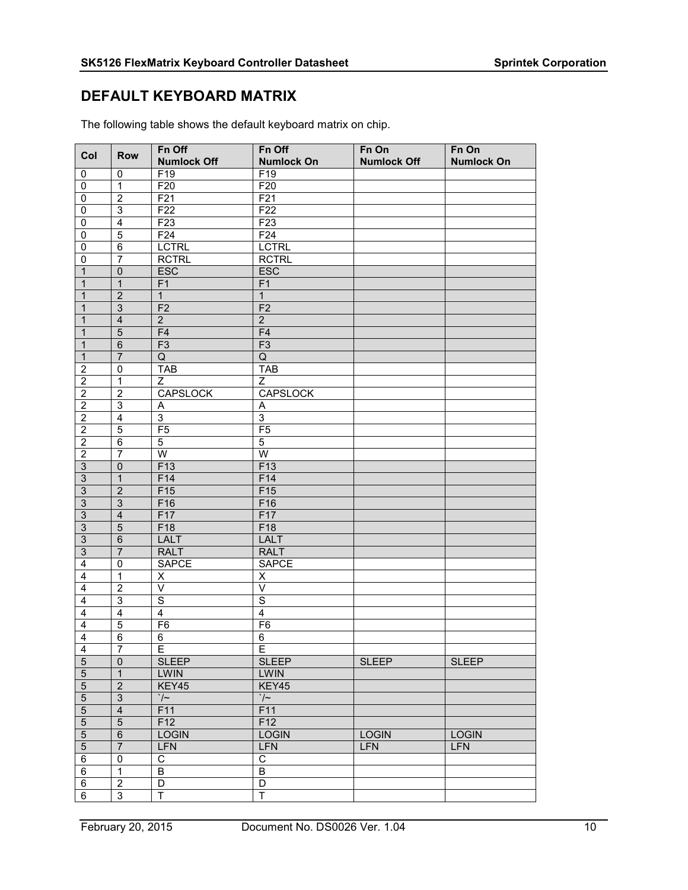## DEFAULT KEYBOARD MATRIX

| Col                               | <b>Row</b>                                  | Fn Off<br><b>Numlock Off</b> | Fn Off<br><b>Numlock On</b>      | $Fn$ On<br><b>Numlock Off</b> | Fn On<br><b>Numlock On</b> |
|-----------------------------------|---------------------------------------------|------------------------------|----------------------------------|-------------------------------|----------------------------|
| 0                                 | 0                                           | F19                          | F19                              |                               |                            |
| 0                                 | $\overline{1}$                              | F20                          | F20                              |                               |                            |
| 0                                 | $\overline{2}$                              | F <sub>21</sub>              | F <sub>21</sub>                  |                               |                            |
| $\mathbf 0$                       | $\overline{3}$                              | F22                          | F22                              |                               |                            |
| 0                                 | $\overline{\mathbf{4}}$                     | F <sub>23</sub>              | F23                              |                               |                            |
| 0                                 | $\overline{5}$                              | F24                          | F24                              |                               |                            |
| 0                                 | 6                                           | <b>LCTRL</b>                 | <b>LCTRL</b>                     |                               |                            |
| $\mathbf 0$                       | $\overline{7}$                              | <b>RCTRL</b>                 | <b>RCTRL</b>                     |                               |                            |
| $\mathbf 1$                       | $\pmb{0}$                                   | ESC                          | <b>ESC</b>                       |                               |                            |
| $\mathbf{1}$                      | $\overline{1}$                              | F1                           | F1                               |                               |                            |
| 1                                 | $\overline{2}$                              | $\mathbf{1}$                 | $\mathbf{1}$                     |                               |                            |
| 1                                 | 3                                           | F <sub>2</sub>               | F <sub>2</sub>                   |                               |                            |
| 1                                 | $\overline{\mathbf{4}}$                     | $\overline{2}$               | $\overline{2}$                   |                               |                            |
| $\mathbf 1$                       | $\overline{5}$                              | F4                           | F4                               |                               |                            |
| 1                                 | $\overline{6}$                              | F3                           | F3                               |                               |                            |
| $\mathbf{1}$                      | $\overline{7}$                              | Q                            | Q                                |                               |                            |
| $\overline{2}$                    | $\mathbf 0$                                 | <b>TAB</b>                   | <b>TAB</b>                       |                               |                            |
| $\overline{2}$                    | $\overline{1}$                              | $\overline{Z}$               | $\overline{Z}$                   |                               |                            |
| $\overline{2}$                    | $\overline{2}$                              | <b>CAPSLOCK</b>              | <b>CAPSLOCK</b>                  |                               |                            |
| $\overline{2}$                    | $\overline{3}$                              | A                            | A                                |                               |                            |
| $\overline{2}$                    | $\overline{4}$                              | $\overline{3}$               | $\overline{3}$                   |                               |                            |
| $\boldsymbol{2}$                  | $\overline{5}$                              | F <sub>5</sub>               | F <sub>5</sub>                   |                               |                            |
| $\overline{2}$                    | $\overline{6}$                              | $\overline{5}$               | 5                                |                               |                            |
| $\overline{2}$                    | $\overline{7}$                              | $\overline{W}$               | $\overline{W}$                   |                               |                            |
| $\overline{3}$                    | $\overline{0}$                              | F13                          | F13                              |                               |                            |
| $\overline{3}$                    | $\overline{1}$                              | F14                          | F14                              |                               |                            |
| $\overline{3}$                    | $\overline{2}$                              | F <sub>15</sub>              | F15                              |                               |                            |
| $\overline{3}$                    | $\overline{3}$                              | F16                          | F16                              |                               |                            |
| $\overline{3}$                    | $\overline{\mathbf{4}}$                     | F17                          | F17                              |                               |                            |
| $\overline{3}$                    | $\overline{5}$                              | F18                          | F18                              |                               |                            |
| $\overline{3}$                    | $6\phantom{1}6$                             | <b>LALT</b>                  | <b>LALT</b>                      |                               |                            |
| $\overline{3}$                    | $\overline{7}$                              | <b>RALT</b>                  | <b>RALT</b>                      |                               |                            |
| $\overline{\mathbf{4}}$           | 0                                           | <b>SAPCE</b>                 | <b>SAPCE</b>                     |                               |                            |
| $\overline{4}$                    | $\overline{1}$                              | X                            | Χ                                |                               |                            |
| $\overline{\mathbf{4}}$           | $\overline{2}$                              | $\vee$                       | $\vee$                           |                               |                            |
| $\overline{4}$                    | $\overline{3}$                              | $\overline{s}$               | $\overline{s}$                   |                               |                            |
| 4                                 | $\overline{\mathbf{4}}$                     | $\overline{\mathbf{4}}$      | 4                                |                               |                            |
| $\overline{4}$                    | $\overline{5}$                              | F <sub>6</sub>               | F6                               |                               |                            |
| $\overline{4}$                    | $\overline{6}$                              | 6                            | 6                                |                               |                            |
| 4                                 | $\overline{7}$                              | E.                           | Е                                |                               |                            |
| $\overline{5}$                    | $\overline{0}$                              | <b>SLEEP</b>                 | <b>SLEEP</b>                     | <b>SLEEP</b>                  | <b>SLEEP</b>               |
| $\overline{5}$<br>$\overline{5}$  | $\overline{1}$<br>$\overline{2}$            | <b>LWIN</b><br>KEY45         | <b>LWIN</b><br>KEY45             |                               |                            |
|                                   |                                             |                              |                                  |                               |                            |
| $\mathbf 5$                       | $\ensuremath{\mathsf{3}}$<br>$\overline{4}$ | $\frac{1}{\sqrt{2}}$<br>F11  | $\cdot$ / $\sim$<br>F11          |                               |                            |
| $\overline{5}$<br>$\overline{5}$  | $\overline{5}$                              | F12                          | F12                              |                               |                            |
|                                   |                                             | <b>LOGIN</b>                 | <b>LOGIN</b>                     | <b>LOGIN</b>                  |                            |
| $\overline{5}$                    | $\overline{6}$                              |                              |                                  |                               | <b>LOGIN</b>               |
| $\overline{5}$                    | $\overline{7}$                              | LFN                          | LFN                              | <b>LFN</b>                    | <b>LFN</b>                 |
| $\overline{6}$                    | $\pmb{0}$<br>$\overline{1}$                 | $\overline{C}$               | $\overline{C}$<br>$\overline{B}$ |                               |                            |
| $\overline{6}$<br>$6\overline{6}$ | $\overline{2}$                              | B<br>$\overline{D}$          |                                  |                               |                            |
|                                   | $\overline{3}$                              | Ŧ                            | $\overline{D}$<br>Ŧ              |                               |                            |
| $\overline{6}$                    |                                             |                              |                                  |                               |                            |

The following table shows the default keyboard matrix on chip.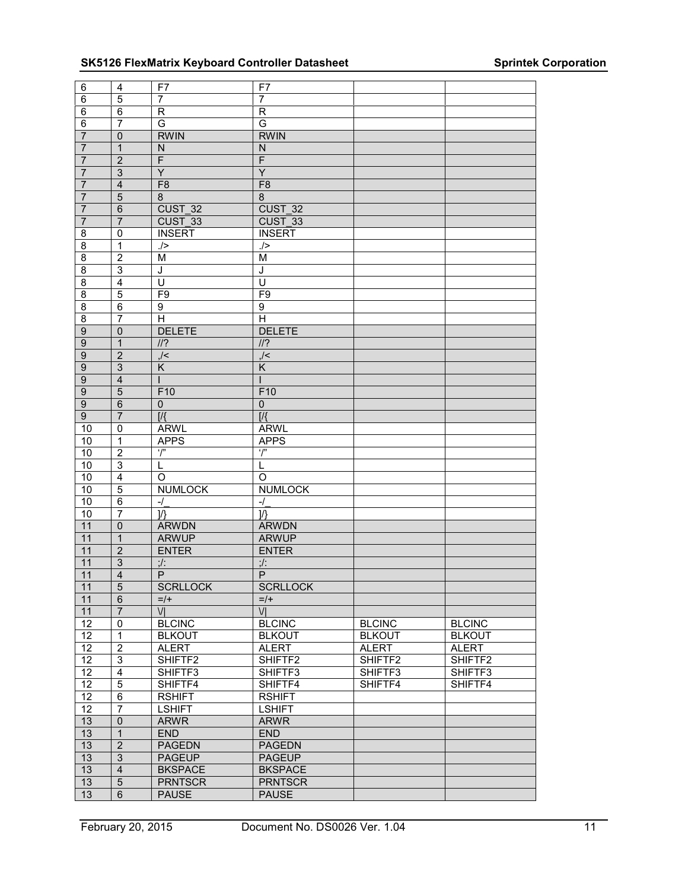| $\,6$           | $\overline{\mathbf{4}}$ | F7                                   | F7                           |               |               |
|-----------------|-------------------------|--------------------------------------|------------------------------|---------------|---------------|
| 6               | 5                       | 7                                    | 7                            |               |               |
| 6               | $\overline{6}$          | $\overline{R}$                       | $\overline{R}$               |               |               |
| $\,6\,$         | $\overline{7}$          | G                                    | G                            |               |               |
| $\overline{7}$  | $\pmb{0}$               | <b>RWIN</b>                          | <b>RWIN</b>                  |               |               |
| $\overline{7}$  | $\overline{1}$          |                                      |                              |               |               |
|                 | $\overline{2}$          | ${\sf N}$<br>$\overline{\mathsf{F}}$ | N<br>$\overline{\mathsf{F}}$ |               |               |
| $\overline{7}$  |                         |                                      |                              |               |               |
| $\overline{7}$  | $\mathbf{3}$            | $\overline{Y}$                       | $\overline{Y}$               |               |               |
| $\overline{7}$  | $\overline{4}$          | F8                                   | F8                           |               |               |
| $\overline{7}$  | $\overline{5}$          | 8                                    | $\bf 8$                      |               |               |
| $\overline{7}$  | $\overline{6}$          | CUST 32                              | CUST 32                      |               |               |
| $\overline{7}$  | $\overline{7}$          | CUST 33                              | CUST 33                      |               |               |
| $\overline{8}$  | $\pmb{0}$               | <b>INSERT</b>                        | <b>INSERT</b>                |               |               |
| 8               | $\overline{1}$          | ./>                                  | ./>                          |               |               |
| $\overline{8}$  | $\overline{2}$          | $\overline{\mathsf{M}}$              | $\overline{\mathsf{M}}$      |               |               |
| 8               | 3                       | J                                    | J                            |               |               |
| $\overline{8}$  | $\overline{4}$          | $\overline{\mathtt{U}}$              | $\overline{\mathsf{U}}$      |               |               |
| $\overline{8}$  | $\overline{5}$          | F <sub>9</sub>                       | F9                           |               |               |
| 8               | $\,6$                   | 9                                    | 9                            |               |               |
| $\overline{8}$  | $\overline{7}$          | $\overline{\mathsf{H}}$              | $\overline{\mathsf{H}}$      |               |               |
| $9\,$           | $\mathbf 0$             | <b>DELETE</b>                        | <b>DELETE</b>                |               |               |
| $\overline{9}$  | $\overline{1}$          | $\frac{1}{2}$                        | $\frac{1}{2}$                |               |               |
| $\overline{9}$  | $\overline{2}$          | $\frac{1}{2}$                        | $\frac{1}{2}$                |               |               |
| $\overline{9}$  | $\overline{3}$          | $\overline{\mathsf{K}}$              | $\overline{\mathsf{K}}$      |               |               |
| $\overline{9}$  | $\overline{\mathbf{4}}$ |                                      |                              |               |               |
| $\overline{9}$  | $\overline{5}$          | F10                                  | F10                          |               |               |
|                 |                         |                                      |                              |               |               |
| $\overline{9}$  | $\overline{6}$          | $\pmb{0}$                            | $\pmb{0}$                    |               |               |
| $\overline{9}$  | $\overline{7}$          | $\overline{M}$                       | $\overline{M}$               |               |               |
| 10              | $\mathbf 0$             | <b>ARWL</b>                          | <b>ARWL</b>                  |               |               |
| 10              | $\overline{1}$          | <b>APPS</b>                          | <b>APPS</b>                  |               |               |
| $10$            | $\boldsymbol{2}$        | $\overline{r}$                       | $\overline{r}$               |               |               |
| 10              | $\overline{3}$          | L                                    | L                            |               |               |
| 10              | $\overline{4}$          | $\Omega$                             | $\circ$                      |               |               |
| 10              | 5                       | <b>NUMLOCK</b>                       | <b>NUMLOCK</b>               |               |               |
| 10              | $\overline{6}$          | $-1$                                 | $-1$                         |               |               |
| 10              | $\overline{7}$          | $\mathcal{V}$                        | $\mathcal{V}$                |               |               |
| 11              | $\overline{0}$          | <b>ARWDN</b>                         | <b>ARWDN</b>                 |               |               |
| 11              | $\mathbf{1}$            | <b>ARWUP</b>                         | <b>ARWUP</b>                 |               |               |
| 11              | $\overline{2}$          | <b>ENTER</b>                         | <b>ENTER</b>                 |               |               |
| 11              | $\overline{3}$          | $:$ /:                               | $:$ /:                       |               |               |
| 11              | $\overline{4}$          | $\overline{P}$                       | $\overline{P}$               |               |               |
| $11$            | 5                       | <b>SCRLLOCK</b>                      | <b>SCRLLOCK</b>              |               |               |
| 11              | $\overline{6}$          | $=$ /+                               | $=$ /+                       |               |               |
| 11              | $\overline{7}$          | VI                                   | $\overline{V}$               |               |               |
| 12              | $\overline{0}$          | <b>BLCINC</b>                        | <b>BLCINC</b>                | <b>BLCINC</b> | <b>BLCINC</b> |
| $\overline{12}$ | $\overline{1}$          | <b>BLKOUT</b>                        | <b>BLKOUT</b>                | <b>BLKOUT</b> | <b>BLKOUT</b> |
| 12              | $\overline{2}$          | <b>ALERT</b>                         | <b>ALERT</b>                 | <b>ALERT</b>  | <b>ALERT</b>  |
| $\overline{12}$ | $\overline{3}$          |                                      | SHIFTF2                      | SHIFTF2       | SHIFTF2       |
| 12              |                         | SHIFTF2                              | SHIFTF3                      | SHIFTF3       |               |
|                 | $\overline{4}$          | SHIFTF3                              |                              |               | SHIFTF3       |
| 12              | $\overline{5}$          | SHIFTF4                              | SHIFTF4                      | SHIFTF4       | SHIFTF4       |
| $\overline{12}$ | 6                       | <b>RSHIFT</b>                        | <b>RSHIFT</b>                |               |               |
| 12              | 7                       | <b>LSHIFT</b>                        | <b>LSHIFT</b>                |               |               |
| 13              | $\overline{0}$          | <b>ARWR</b>                          | <b>ARWR</b>                  |               |               |
| 13              | $\overline{1}$          | <b>END</b>                           | <b>END</b>                   |               |               |
| 13              | $\overline{2}$          | <b>PAGEDN</b>                        | <b>PAGEDN</b>                |               |               |
| 13              | $\overline{3}$          | <b>PAGEUP</b>                        | <b>PAGEUP</b>                |               |               |
| 13              | $\overline{\mathbf{4}}$ | <b>BKSPACE</b>                       | <b>BKSPACE</b>               |               |               |
| 13              | $\overline{5}$          | <b>PRNTSCR</b>                       | <b>PRNTSCR</b>               |               |               |
| 13              | $6\phantom{1}$          | <b>PAUSE</b>                         | <b>PAUSE</b>                 |               |               |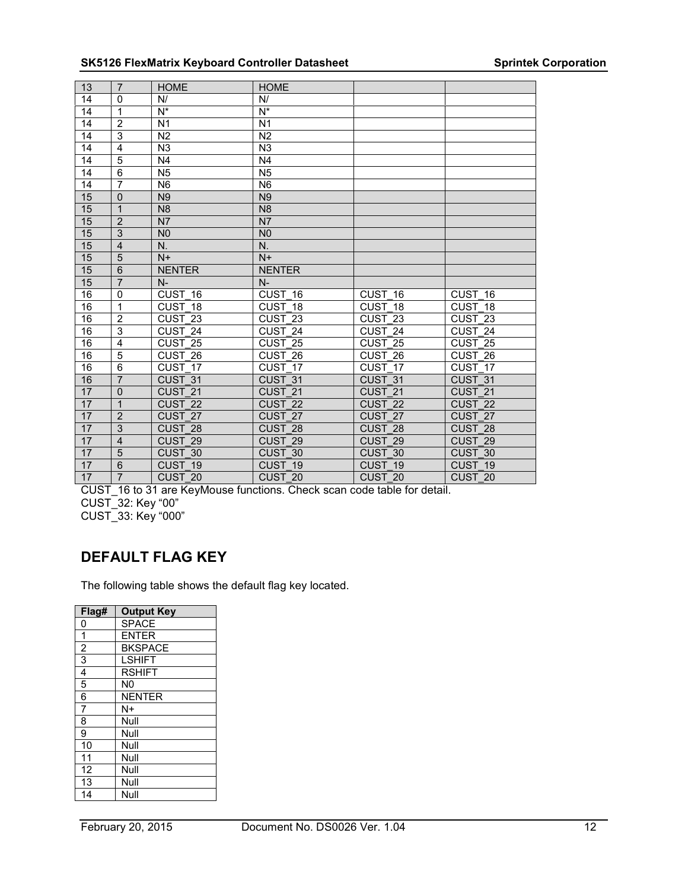| 13              | $\overline{7}$ | <b>HOME</b>        | <b>HOME</b>        |                      |                    |
|-----------------|----------------|--------------------|--------------------|----------------------|--------------------|
| 14              | $\mathbf 0$    | N/                 | N/                 |                      |                    |
| 14              | $\mathbf{1}$   | $N^*$              | $N^*$              |                      |                    |
| 14              | $\overline{2}$ | N <sub>1</sub>     | N <sub>1</sub>     |                      |                    |
| 14              | $\overline{3}$ | N <sub>2</sub>     | N <sub>2</sub>     |                      |                    |
| 14              | $\overline{4}$ | N <sub>3</sub>     | N <sub>3</sub>     |                      |                    |
| 14              | $\overline{5}$ | N <sub>4</sub>     | N <sub>4</sub>     |                      |                    |
| $\overline{14}$ | $\overline{6}$ | N <sub>5</sub>     | $\overline{N5}$    |                      |                    |
| 14              | $\overline{7}$ | N <sub>6</sub>     | N <sub>6</sub>     |                      |                    |
| 15              | $\Omega$       | N <sub>9</sub>     | N <sub>9</sub>     |                      |                    |
| 15              | $\mathbf{1}$   | N <sub>8</sub>     | N <sub>8</sub>     |                      |                    |
| 15              | $\overline{2}$ | N <sub>7</sub>     | N7                 |                      |                    |
| 15              | $\overline{3}$ | N <sub>0</sub>     | N <sub>0</sub>     |                      |                    |
| 15              | $\overline{4}$ | N.                 | N.                 |                      |                    |
| 15              | $\overline{5}$ | $N+$               | $N+$               |                      |                    |
| 15              | $\overline{6}$ | <b>NENTER</b>      | <b>NENTER</b>      |                      |                    |
| 15              | $\overline{7}$ | $N-$               | $N-$               |                      |                    |
| 16              | $\mathbf 0$    | CUST 16            | CUST 16            | CUST 16              | CUST 16            |
| 16              | $\overline{1}$ | CUST 18            | CUST 18            | CUST 18              | CUST 18            |
| 16              | $\overline{2}$ | CUST $23$          | CUST 23            | CUST $\overline{23}$ | CUST $23$          |
| 16              | 3              | CUST 24            | CUST 24            | CUST 24              | CUST 24            |
| 16              | $\overline{4}$ | CUST <sub>25</sub> | CUST 25            | CUST 25              | CUST 25            |
| 16              | $\overline{5}$ | CUST 26            | CUST <sub>26</sub> | CUST 26              | CUST <sub>26</sub> |
| 16              | $\overline{6}$ | CUST 17            | CUST 17            | $CUST_17$            | CUST 17            |
| 16              | $\overline{7}$ | CUST 31            | CUST 31            | CUST 31              | CUST 31            |
| 17              | $\overline{0}$ | CUST <sub>21</sub> | CUST <sub>21</sub> | CUST <sub>21</sub>   | CUST <sub>21</sub> |
| 17              | $\overline{1}$ | CUST <sub>22</sub> | CUST <sub>22</sub> | CUST <sub>22</sub>   | CUST <sub>22</sub> |
| 17              | $\overline{2}$ | CUST <sub>27</sub> | CUST 27            | CUST 27              | CUST 27            |
| 17              | $\overline{3}$ | CUST <sub>28</sub> | CUST 28            | CUST 28              | CUST 28            |
| 17              | $\overline{4}$ | CUST <sub>29</sub> | CUST <sub>29</sub> | CUST <sub>29</sub>   | CUST <sub>29</sub> |
| 17              | $\overline{5}$ | CUST 30            | CUST 30            | CUST 30              | CUST 30            |
| 17              | $6\phantom{1}$ | CUST 19            | CUST 19            | CUST 19              | CUST <sub>19</sub> |
| 17              | $\overline{7}$ | CUST 20            | CUST 20            | CUST 20              | CUST 20            |

CUST\_16 to 31 are KeyMouse functions. Check scan code table for detail. CUST\_32: Key "00" CUST\_33: Key "000"

## DEFAULT FLAG KEY

The following table shows the default flag key located.

| Flag#          | <b>Output Key</b> |
|----------------|-------------------|
| 0              | <b>SPACE</b>      |
| 1              | <b>ENTER</b>      |
| $\overline{c}$ | <b>BKSPACE</b>    |
| $\overline{3}$ | <b>LSHIFT</b>     |
| 4              | <b>RSHIFT</b>     |
| 5              | N <sub>0</sub>    |
| 6              | <b>NENTER</b>     |
| 7              | N+                |
| 8              | Null              |
| 9              | Null              |
| 10             | Null              |
| 11             | Null              |
| 12             | Null              |
| 13             | Null              |
| 14             | Null              |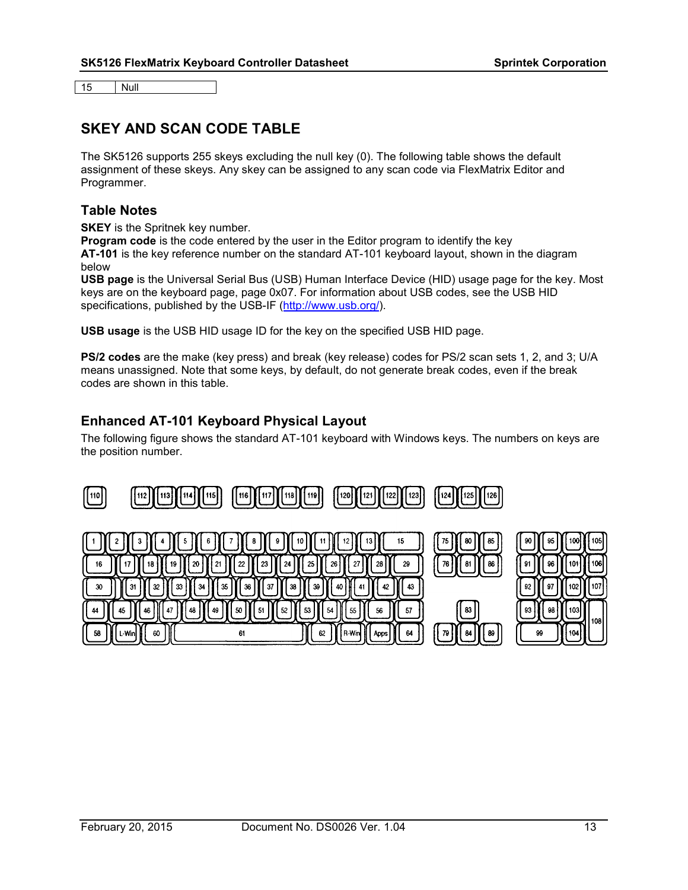15 Null

## SKEY AND SCAN CODE TABLE

The SK5126 supports 255 skeys excluding the null key (0). The following table shows the default assignment of these skeys. Any skey can be assigned to any scan code via FlexMatrix Editor and Programmer.

#### Table Notes

**SKEY** is the Spritnek key number.

Program code is the code entered by the user in the Editor program to identify the key AT-101 is the key reference number on the standard AT-101 keyboard layout, shown in the diagram below

USB page is the Universal Serial Bus (USB) Human Interface Device (HID) usage page for the key. Most keys are on the keyboard page, page 0x07. For information about USB codes, see the USB HID specifications, published by the USB-IF (http://www.usb.org/).

USB usage is the USB HID usage ID for the key on the specified USB HID page.

PS/2 codes are the make (key press) and break (key release) codes for PS/2 scan sets 1, 2, and 3; U/A means unassigned. Note that some keys, by default, do not generate break codes, even if the break codes are shown in this table.

## Enhanced AT-101 Keyboard Physical Layout

The following figure shows the standard AT-101 keyboard with Windows keys. The numbers on keys are the position number.

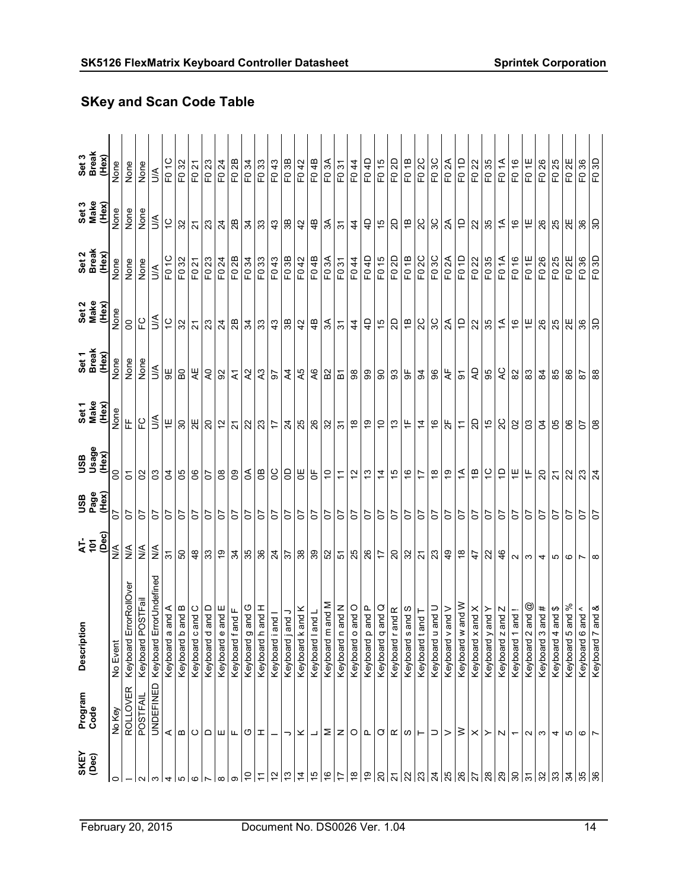| Set 3<br>Break<br>(Hex) | None          | None                   | None          | S                                 | F01C                | F032                | F021                        | F023           | F024                                          | F02B                    | F034                        | F <sub>0</sub> 33           | F <sub>0</sub> 43 | F03B                | F042                | F04B                | F03A                | F <sub>0</sub> 31                                 | F044                      | F04D                     | F015                | F02D                | F01B                           | F02C                             | F03C                        | F <sub>0</sub> 2A         | F01D                | F0 22                 | F <sub>0</sub> 35   | F01A                     | F016                        | FO <sub>1E</sub>                       | F026                   | F025                              | F <sub>02</sub> E   | F <sub>0</sub> 36          | F03D                |
|-------------------------|---------------|------------------------|---------------|-----------------------------------|---------------------|---------------------|-----------------------------|----------------|-----------------------------------------------|-------------------------|-----------------------------|-----------------------------|-------------------|---------------------|---------------------|---------------------|---------------------|---------------------------------------------------|---------------------------|--------------------------|---------------------|---------------------|--------------------------------|----------------------------------|-----------------------------|---------------------------|---------------------|-----------------------|---------------------|--------------------------|-----------------------------|----------------------------------------|------------------------|-----------------------------------|---------------------|----------------------------|---------------------|
| Set 3<br>Make<br>(Hex)  | None          | None                   | None          | $\leq$                            | $\tilde{c}$         | 32                  | $\overline{\mathcal{S}}$    | 23             | $\overline{24}$                               | 28                      | $\frac{24}{3}$              |                             | 43                | 36                  | 42                  | 4B                  | $\mathbb{R}$        | $\mathfrak{S}$                                    | $\frac{4}{4}$             | $\overline{4}$           | $\frac{1}{2}$       | $\Omega$            | $\overline{\Xi}$               | 2C                               | 3C                          | $\approx$                 | $\overline{a}$      | $\approx$             | 35                  | $\overline{\mathcal{L}}$ | $\frac{6}{7}$               | $\overleftarrow{\text{}}$              | 26                     | 25                                | 2E                  | 36                         | GS                  |
| Set 2<br>Break<br>(Hex) | None          | None                   | None          | $\leq$                            | F01C                | F0 32               | F0 21                       | F0 23          | F <sub>024</sub>                              | F02B                    | $\frac{F(0.34)}{F(0.43)}$   |                             |                   | F0 3B               | F042                | F04B                | F03A                | F <sub>0</sub> 31                                 | $E$ 044                   | F04D                     | F015                | F02D                | F01B                           | F02C                             | F03C                        | F02A                      | FO <sub>1D</sub>    | F022                  | F035                | F01A                     | F016                        | FO <sub>1E</sub>                       | F <sub>0</sub> 26      | F025                              | F <sub>02E</sub>    | F0 36                      | F03D                |
| Set 2<br>Make<br>(Hex)  | None          | 8                      | ပူ            | $\leq$                            | $\frac{1}{2}$       | 32                  | $\tilde{\mathcal{L}}$       | 23             | $\overline{24}$                               | 2B                      | $\frac{4}{3}$ $\frac{1}{3}$ |                             | $\frac{4}{3}$     | 36                  | 42                  |                     | $\approx$           | $\mathfrak{S}$                                    | $\frac{4}{4}$             | $\overline{4}$           | 9                   | 2D                  | $\overline{a}$                 |                                  |                             | $ S S Z 5 S $ is          |                     |                       |                     | $\overline{4}$           |                             | $\frac{1}{2}$                          | 26                     | 25                                |                     | 36                         | 9D                  |
| Set 1<br>Break<br>(Hex) | None          | None                   | None          | $\mathbb{S}$                      | 9€                  | B <sub>0</sub>      | ₹F                          | $\lambda$      | 92                                            | $\overline{\mathbf{z}}$ | $\mathcal{L}$               | A3                          | $\overline{5}$    | $A$ 4               | A5<br>A6            |                     | B <sub>2</sub>      |                                                   | $\frac{2}{9}$             | 99                       | $\overline{6}$      | 93                  | $5\overline{6}$                | $\mathfrak{B}$                   | 8                           | $\mathsf{A}^{\mathsf{E}}$ | $\overline{\circ}$  | 25                    |                     | Q                        | $82$                        | $_{\rm 83}$                            | $\overline{a}$         | 85                                | 86                  | 29                         | 88                  |
| Set 1<br>Make<br>(Hex)  | None          | 뜐                      | ပူ            | З                                 | $\overline{+}$      | $80\,$              | $\Xi$                       | $\overline{a}$ | $\frac{1}{2}$                                 | 21                      |                             | $\frac{1}{2}$  ଅ $\approx$  |                   | $\overline{5}$      | 88                  |                     | ន $ \approx z $     |                                                   | $\overset{\infty}{\cdot}$ | é,                       | $\tilde{a}$         | 13                  | $\overleftarrow{\text{}}$      | $\dot{4}$                        | $\frac{6}{5}$               | $\frac{\pi}{2}$           | $\tilde{t}$         | SD                    | 40                  | SC                       | $\mathbf{S}$                | ප                                      | g                      | 8                                 | ළ                   | 58                         |                     |
| USB<br>Usage<br>(Hex)   | 8             | 5                      | $\mathbf{S}$  | $\mathbf{S}$                      | $\mathfrak{g}$      | 50                  | 8                           | 5              | $_{\rm 8}$                                    | 09                      | 58                          |                             | <b>SC</b>         | OD                  | 빙 등                 |                     | $\overline{0}$      | $\overline{r}$                                    | $\frac{1}{2}$             | $\frac{3}{2}$            | $\dot{a}$           | $\frac{5}{2}$       | $\frac{6}{5}$                  | $\ddot{ }$                       | $\overset{\circ}{\tau}$     | $\mathbb{G}$              |                     | 회의주                   |                     | $\overline{a}$           | $\overline{a}$              | $\frac{\mu}{\tau}$                     | $\Omega$               | $\overline{21}$                   | 23                  |                            | $\overline{24}$     |
| USB<br>Page<br>(Hex)    | 50            | 5                      | 5             | 5                                 | 5                   | 5                   | 5                           | 5              | <b>PD</b>                                     | 5                       | $rac{2}{5}$                 |                             | l<br>5            | $\overline{50}$     | $rac{20}{50}$       |                     | $\frac{1}{2}$       |                                                   | $rac{20}{50}$             | $\overline{c}$           | LO <sub>2</sub>     | 5                   | 5                              | 5                                | 5C                          | 5                         |                     | 5 5                   | $\overline{0}$      | 5                        | 5                           | 5                                      | 5                      | 5                                 | 5                   | 5                          | 5                   |
| AT-<br>101<br>(Dec)     | $\frac{4}{5}$ | $\frac{4}{2}$          | $\frac{4}{2}$ | $\frac{4}{5}$                     | $\frac{1}{2}$       | SO                  | $\frac{8}{4}$               | <u>က္က ခြ</u>  |                                               | $\mathfrak{F}$          |                             | $\frac{8}{3}$ $\frac{8}{4}$ |                   | 57                  | $\frac{8}{3}$       |                     | 52                  |                                                   | $\frac{5}{25}$            | $\frac{5}{6}$            |                     |                     | $\frac{1}{20}$                 | $\overline{\Omega}$              | 23                          | ခြံ ခြံ ခြံ ခြံ           |                     |                       |                     | 46                       | $\sim$ $\sim$               |                                        | 4                      | S                                 | G                   | ∼                          | $\infty$            |
| Descriptic              | No Event      | Keyboard ErrorRollOver | Keyboard POST | UNDEFINED Keyboard ErrorUndefined | and A<br>Keyboard a | and B<br>Keyboard b | $\frac{1}{2}$<br>Keyboard c | Keyboard d     | $\frac{1}{2}$ and $\frac{1}{2}$<br>Keyboard e | Keyboard f and F        | O<br>and<br>Keyboard g      | and $H$<br>Keyboard h       | and<br>Keyboard i | and J<br>Keyboard j | and K<br>Keyboard k | and L<br>Keyboard I | and M<br>Keyboard m | $\frac{ \mathbf{X} }{ \mathbf{S} }$<br>Keyboard n | $rac{1}{2}$<br>Keyboard o | le<br>Tang<br>Keyboard p | and Q<br>Keyboard q | and R<br>Keyboard r | and S<br>Keyboard <sub>s</sub> | $1$ bue<br>Keyboard <sub>t</sub> | $\frac{1}{2}$<br>Keyboard u | and $V$<br>Keyboard v     | w pue<br>Keyboard w | and $X$<br>Keyboard x | and Y<br>Keyboard y | and $Z$<br>Keyboard      | $\frac{1}{2}$<br>Keyboard 1 | and @<br>$\mathbf{\Omega}$<br>Keyboard | #<br>and<br>Keyboard 3 | ↮<br>$\overline{a}$<br>Keyboard 4 | and %<br>Keyboard 5 | and $\wedge$<br>Keyboard 6 | and &<br>Keyboard 7 |
| Program<br>Code         | No Key        | <b>ROLLOVER</b>        | POSTFAIL      |                                   | ⋖                   | $\bf{m}$            | ပ                           |                | ≏∣ш                                           | $\mathsf{L}\mathsf{L}$  | O                           | I                           |                   | っ                   | ×                   | ┙                   |                     | $\sum  Z $                                        |                           | ∣உ                       | O                   | $\propto$           | ဖ                              | $\vdash$                         | ⊃                           | >                         | ≥                   | ×                     | ≻                   | N                        | $\overline{\phantom{0}}$    | $\sim$                                 | S                      | 4                                 | ю                   | G                          | $\overline{ }$      |
| SKEY<br>(Dec)           | $\circ$       |                        |               |                                   |                     |                     |                             |                | ∞                                             | თ                       | ő                           | $\overline{ }$              | $\frac{2}{3}$     | $\frac{1}{2}$       | $\overline{4}$      | $\frac{5}{3}$       | $\frac{9}{7}$       | $\overline{1}$                                    | $\frac{8}{6}$             |                          | $\overline{20}$     | $\overline{2}$      | 22                             | 23                               | $\overline{5}$              | 25                        |                     | $\frac{8}{27}$        | 28                  | 29                       | $\frac{8}{2}$               |                                        | 32                     | ని                                | 34                  |                            | $\frac{8}{36}$      |

# SKey and Scan Code Table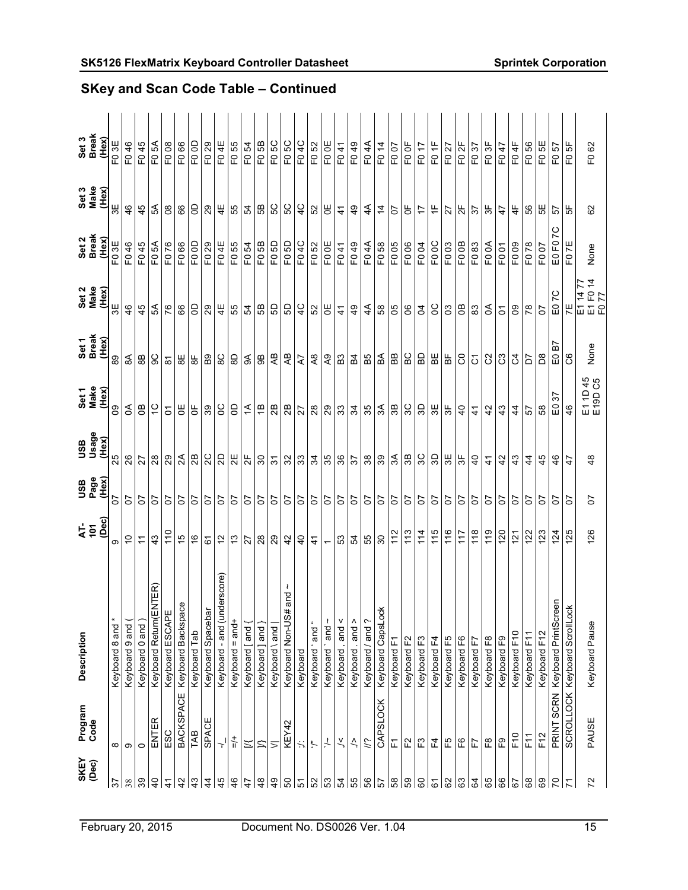| Keyboard 8 and * |
|------------------|
|                  |
|                  |
|                  |
|                  |
| 110<br>40        |
| $\frac{6}{5}$    |
| 6                |
| $\tilde{c}$      |
| $\frac{1}{2}$    |
| 27               |
| $\infty$         |
| $\overline{5}$   |
| 42               |
| $\overline{4}$   |
| $\frac{4}{5}$    |
| $\leftarrow$     |
| ន ន              |
|                  |
| 55               |
| 30               |
| 112              |
| 113              |
| 114              |
| 115              |
| 116              |
| 117              |
| 118              |
| 119              |
| 120              |
| <u>ist</u>       |
| $\overline{2}$   |
| $\overline{23}$  |
| 124              |
|                  |
| 126              |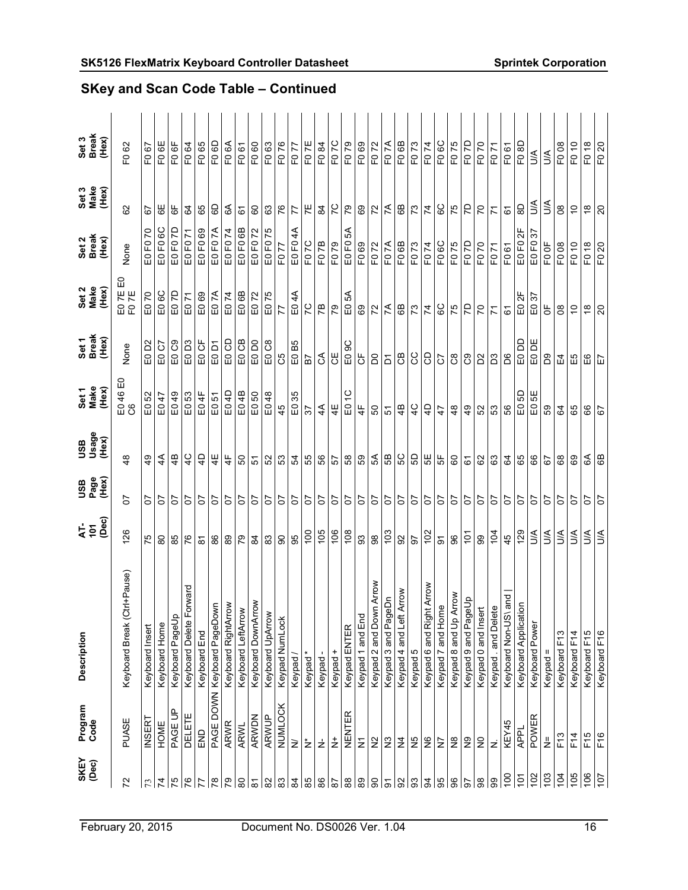| Description<br>Program<br>Code                         |  | $\frac{1}{4}$ $\frac{5}{4}$ $\frac{6}{4}$ | <b>USB</b><br>Page<br>(Hex) | Xala<br>Osage<br>Osage        | 品<br>Set 1<br>Make<br>(Hex)<br>46 | Set 1<br>Break<br>(Hex) | ۵J<br>Set 2<br>Make<br>(Hex) | Set 2<br>Break<br>(Hex)                 | Set 3<br>Make<br>(Hex)      | Set 3<br>Break<br>(Hex) |
|--------------------------------------------------------|--|-------------------------------------------|-----------------------------|-------------------------------|-----------------------------------|-------------------------|------------------------------|-----------------------------------------|-----------------------------|-------------------------|
| Keyboard Break (Ctrl+Pause)<br>PUASE                   |  | 126                                       | 5                           | $\frac{8}{4}$                 | $rac{6}{2}$                       | None                    | ED 7E<br>FO 7E               | None                                    | 82                          | F <sub>0</sub> 62       |
| Keyboard Insert<br><b>INSERT</b>                       |  | 57                                        | 5                           | $\frac{6}{7}$                 | E052                              | E0 D2                   | 20<br>읍                      | E0 F0 70                                | 5                           | F067                    |
| Keyboard PageUp<br>Keyboard Home<br>PAGE UP<br>HOME    |  | 8<br>85                                   | 5<br>5                      | $4\overline{4}$<br>\$         | E049<br>E047                      | EO C7<br>EO C9          | E06C<br>E07D                 | F <sub>0</sub> 6C<br>E0 F0 7D<br>G<br>山 | 59<br>₩                     | FO 6E<br>F06F           |
| Forward<br>Keyboard Delete<br>DELETE                   |  | 76                                        | 5                           | $\frac{1}{2}$                 | $\mathsf{E}0$ 53                  | EO D <sub>3</sub>       | E071                         | E0 F0 71                                | 3                           | F064                    |
| Keyboard End<br>END                                    |  | <u>रू</u>                                 | 5                           | $\overline{4}$                | 4<br>$\overline{5}$               | EO CF                   | 69<br>$\Xi$                  | 69<br>$\overline{P}$<br>$\Omega$        | 89                          | 65<br>E <sub>O</sub>    |
| PAGE DOWN Keyboard PageDown                            |  | 86                                        | 5                           | 4E                            | E051                              | E0 D1                   | ξX<br>$\Xi$                  | F07A<br>$E_{0}$                         | 60                          | 6<br>EO<br>E            |
| Keyboard RightArrow<br>ARWR                            |  | 89                                        | 5C                          | $\frac{1}{4}$                 | E04D                              | E0 CD                   | $\overline{7}$<br>$\Xi$      | F074<br>$E_{0}$                         | E                           | E<br>$\overline{E}$     |
| Keyboard LeftArrow<br><b>ARWL</b>                      |  | $\mathcal{L}$                             | C <sub>1</sub>              | SO                            | E04B                              | E0 CB                   | E06B                         | EO FO 6B                                | 67                          | F061                    |
| Keyboard DownArrow<br>ARWDN                            |  | $\mathfrak{B}$                            | $\overline{5}$              | $\frac{1}{2}$                 | E050                              | E0D0                    | E072                         | E0 F0 72                                | 60                          | F060                    |
| 83<br>Keyboard UpArrow<br>ARWUP                        |  |                                           | $\overline{0}$              | 52                            | E048                              | E0 C8                   | E075                         | E0 F0 75                                | 63                          | F063                    |
| $\pmb{\mathbb{S}}$<br>Keypad NumLock<br>NUMLOCK        |  |                                           | 5                           | 53                            | 45                                | C5                      | 77                           | F077                                    | $rac{2}{7}$                 | F076                    |
| Keypad<br>$\geq$                                       |  |                                           | 55                          |                               | 35<br>$\mathrel{\mathbb{D}}$      | B5<br>$\frac{1}{10}$    | E04A                         | $\clubsuit$<br>E0 F0                    |                             | F077                    |
| Keypad*<br>ż                                           |  | $g \tilde{g} $                            |                             | $\frac{24}{3}$ $\frac{12}{3}$ | 57                                |                         | $\frac{5}{2}$                | F07C                                    | $\overline{7}$              | FO <sub>7E</sub>        |
| Keypad<br>ż                                            |  |                                           | 5                           |                               | $\overline{4}$                    | $\mathcal{L}$           |                              | E <sub>0</sub> <sub>7B</sub>            | $\mathfrak{A}$              | F084                    |
| $\frac{106}{2}$<br>Keypad +<br>ż                       |  |                                           | 5                           | 57                            | $\frac{1}{4}$                     | Ъ                       | 79                           | F079                                    | $\overline{C}$              | F07C                    |
| 108<br>Keypad ENTER<br>NENTER                          |  |                                           | $\overline{5}$              | ြို့ အ                        | $\Xi$                             | 9C<br>$\mathsf{E}0$     | Z<br>$\mathsf{E}0$           | ధ్<br>EO FO                             | 55                          | F079                    |
| 83<br>Keypad 1 and End<br>Σ                            |  |                                           | 5                           |                               | $\frac{1}{4}$                     | უ<br>ს                  | 69                           | F0 69                                   | 69                          | F069                    |
| $_{\rm 98}$<br>Keypad 2 and Down Arrow<br>$\geq$       |  |                                           |                             | ል<br>ማ                        | SO                                | $\overline{D}$          | $\overline{z}$               | F072                                    |                             | F072                    |
| Keypad 3 and PageDn<br>$\tilde{z}$                     |  | 103                                       | $\frac{2}{5}$               | B                             | 57                                | $\overline{5}$          | $\approx$                    | F07A                                    | $\frac{1}{2}$ $\frac{1}{2}$ | F07A                    |
| Arrow<br>Keypad 4 and Left<br>$\frac{4}{3}$            |  | $\Omega$                                  |                             |                               | 4B                                | <b>BO</b>               | 6B                           | F06B                                    |                             | F06B                    |
| Keypad 5<br>۶Ş                                         |  | 2L                                        | C <sub>1</sub>              |                               | $\frac{1}{4}$                     | S                       | 73                           | F073                                    | 73                          | F073                    |
| Keypad 6 and Right Arrow<br>$\frac{\omega}{2}$         |  | $\overline{5}$                            | $rac{20}{50}$               | 비비법                           | $\overline{4}$                    | 8                       | $\mathcal{L}$                | F074                                    | $\overline{7}$              | F074                    |
| $\delta$<br>Keypad 7 and Home<br>Ξ                     |  |                                           |                             |                               | $\overline{4}$                    | $\overline{C}$          | င္ၿ                          | F06C                                    | 6C<br>75                    | F <sub>0</sub> 6C       |
| Arrow<br>Keypad 8 and Up<br>$\tilde{\Xi}$              |  | 8                                         | $\overline{c}$              |                               | $\frac{8}{4}$                     | $\infty$                | 75                           | F075                                    |                             | F075                    |
| Keypad 9 and PageUp<br>$\widetilde{\mathsf{S}}$        |  | $\tilde{\mathbf{c}}$                      | 5                           | 67                            | $\frac{6}{7}$                     | ී                       | 5                            | F07D                                    | 5                           | F07D                    |
| Keypad 0 and Insert<br>$\Xi$                           |  | இ                                         | 5                           | 62                            | S2                                | D <sup>2</sup>          | $\overline{C}$               | F070                                    | 20                          | F070                    |
| Keypad . and Delete<br>Ż                               |  | $\overline{5}$                            | 5                           | 63                            | 53                                | D3                      | $\overline{7}$               | F071                                    | $\overline{z}$              | F071                    |
| 45<br>Keyboard Non-US\ and<br>KEY45                    |  |                                           | 5                           | 64                            | 56                                | D6                      | 67                           | F061                                    | 67                          | F061                    |
| 129<br>tion<br><b>Keyboard Applicat</b><br><b>APPL</b> |  |                                           | 55                          | $rac{65}{66}$                 | E05D                              | <u>aa ca</u><br>aa ca   | ₩<br>$rac{2F}{E0.37}$        | $\frac{1}{2}$<br>EO FO                  | $\mathsf{S}$                | F <sub>0</sub> 8D       |
| Keyboard Power<br>POWER                                |  | $\leq$                                    |                             |                               | ₩<br>$E_{0}$                      |                         |                              | 57<br>EO FO                             | A/N                         | $\leq$                  |
| Keypad =<br>ž                                          |  | $\leq$                                    | 5                           | $\overline{6}$                | 59                                | Bg                      | $\overline{5}$               | FO OF                                   | $\leq$                      | $\mathbb{S}$            |
| Keyboard F13<br>F13                                    |  | S                                         | 5                           | 68                            | \$4                               | ⊞                       | $8^{\circ}$                  | F008                                    | $_{\rm 80}$                 | F008                    |
| Keyboard F14<br>$F$ 14                                 |  | S                                         | l <sub>2</sub>              | 69                            | 65                                | EЮ                      | $\overline{C}$               | F010                                    | $\tilde{c}$                 | F010                    |
| Keyboard F15<br>F15                                    |  | $\leq$                                    | 5                           | E                             | 89                                | ÊΘ                      | $\frac{\infty}{\infty}$      | $\frac{8}{5}$<br>F.                     | $\frac{8}{1}$               | F <sub>0</sub> 18       |
| Keyboard F16<br>F16                                    |  | ŚС                                        | 5                           | 6B                            | $\overline{6}$                    | 日                       | $\overline{c}$               | F0 20                                   | $\overline{c}$              | F0 20                   |

SKey and Scan Code Table – Continued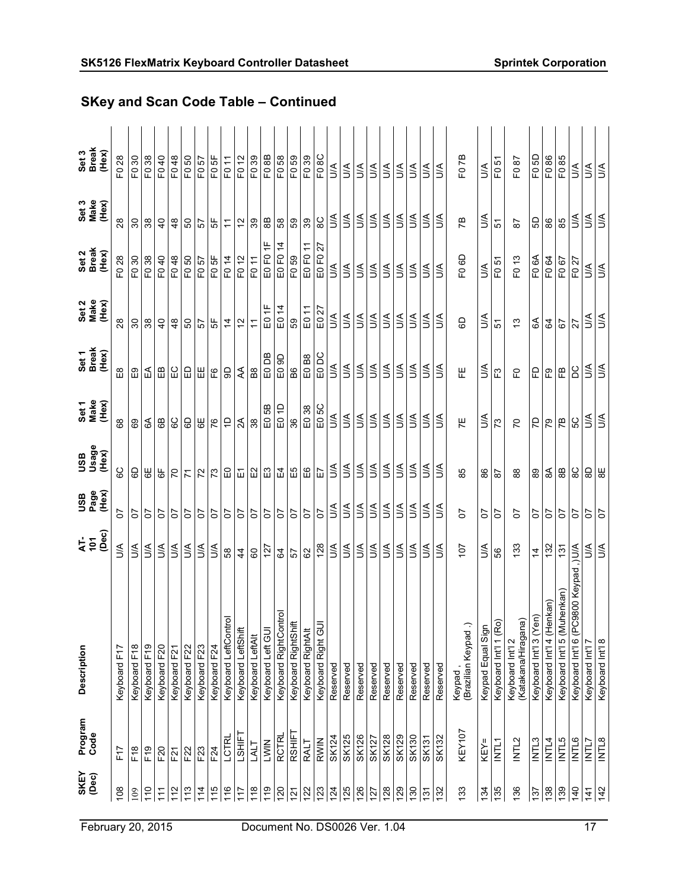| <b>SKEY</b><br>(Dec) | Program<br>Code | Description                                             | (Dec)<br>45    | USB<br>Page<br>(Hex) | Xex)<br>Osage<br>Osage | Set 1<br>Make<br>(Hex)  | Set 1<br>Break<br>(Hex) | Set 2<br>Make<br>(Hex)         | Set 2<br>Break<br>(Hex)     | Set 3<br>Make<br>(Hex) | Set 3<br>Break<br>(Hex)         |
|----------------------|-----------------|---------------------------------------------------------|----------------|----------------------|------------------------|-------------------------|-------------------------|--------------------------------|-----------------------------|------------------------|---------------------------------|
| 108                  | F17             | Keyboard F17                                            | λ              | ρ,                   | ပ္စ                    | 89                      | $\mathbb{E}^8$          | 28                             | F <sub>0</sub> 28           | 28                     | F <sub>0</sub> 28               |
| 109                  | F18             | Keyboard F18                                            | S              | 5                    | es                     | 69                      | E9                      | 30                             | F030                        | $\boldsymbol{S}$       | F <sub>0</sub> 30               |
| 110                  | F19             | Keyboard F19                                            | $\mathbb{S}$   | 5                    | $\overline{6}$         | E                       | ⊮∃                      | 38                             | F <sub>0</sub> 38           | $38\,$                 | F038                            |
| $\frac{1}{11}$       | F20             | Keyboard F20                                            | $\leq$         | 5                    | $\overline{6}$         | 89                      | $\mathbb{B}$            | $\overline{a}$                 | F <sub>0</sub> 40           | $\overline{4}$         | F040                            |
| $\frac{2}{1}$        | F21             | Keyboard F21                                            | ŠК             | 5                    | $\overline{C}$         | င္ၿ                     | C                       | $\frac{8}{4}$                  | F <sub>0</sub> 48           | $\frac{8}{4}$          | F048                            |
| 113                  | F22             | Keyboard F22                                            | ₹              | $\delta$             | $\overline{r}$         | 60                      | IЭ                      | SO                             | F050                        | င္ဟ                    | F050                            |
| 114                  | F23             | Keyboard F23                                            | $\mathbb{S}$   | 5                    | $\overline{z}$         | 59                      | ⊞                       | $\overline{57}$                | F0 57                       | $\overline{5}$         | F0 57                           |
| 115                  | F24             | Keyboard F24                                            | ₹              | 5                    | 73                     | 76                      | م<br>E                  | Ъ                              | F <sub>0</sub> 5F           | 5                      | F <sub>0</sub> 5F               |
| 116                  | LCTRL           | Keyboard LeftControl                                    | 8              | <b>ZO</b>            |                        | $\overline{C}$          | 9D                      | $rac{4}{5}$ $rac{6}{5}$        | F0 14                       | $\tilde{t}$            | F011                            |
| 717                  | LSHIFT          | Keyboard LeftShif                                       | $\overline{4}$ | $\overline{0}$       | 망                      | 2A                      | ₹                       |                                | F012                        | $\tilde{c}$            | F012                            |
| 118                  | LALT            | Keyboard LeftAlt                                        | 8              | CO                   | $\Xi$                  | 38                      | B <sub>8</sub>          | $\overline{r}$                 | F011                        | 39                     | F <sub>0</sub> 39               |
| $\frac{6}{10}$       | LWIN            | Keyboard Left GU                                        | 127            | 5                    | $\Xi$                  | 58<br>$\Xi$             | E0DB                    | $\frac{\mu}{\tau}$<br>$\Omega$ | $\frac{\mu}{\tau}$<br>EO FO | $_{\rm 8}$             | F08B                            |
| 120                  | <b>RCTRL</b>    | Keyboard RightControl                                   | R,             | $\overline{c}$       |                        | $\overline{a}$<br>$\Xi$ | 9D<br>$\mathsf E$       | $\overline{4}$<br>$\Xi$        | $\dot{a}$<br>EO FO          | $58\,$                 | F058                            |
| $\overline{2}$       | RSHIFT          | Keyboard RightShift                                     | 57             | $\overline{c}$       | $\frac{4}{4}$          | 36                      | B6                      | 59                             | F059                        | 59                     | F <sub>0</sub> 59               |
| 122                  | <b>TVY</b>      | Keyboard RightAlt                                       | 8              | <b>ZO</b>            | 9∃                     | E0 38                   | E0 B8                   | E0 11                          | E0 F0 11                    | 39                     | F <sub>0</sub> 39               |
| 123                  | <b>RWIN</b>     | $\overline{\phantom{1}}$<br>Keyboard Right G            | 128            | $\overline{c}$       | $\Xi$                  | E05C                    | E0DC                    | E0 27                          | 27<br>EO FO                 | 8 <sup>C</sup>         | F <sub>0</sub> 8C               |
| 124                  | <b>SK124</b>    | Reserved                                                | $\mathbb{S}$   | $\leq$               | $\leq$                 | <b>AU</b>               | <b>AU</b>               | $\mathbb{S}$                   | $\mathbb{S}$                | $\leq$                 | S                               |
| 125                  | <b>SK125</b>    | Reserved                                                | ₹              | ŠЮ                   | S                      | AU                      | $\mathbb{S}$            | l≦i                            | $\mathbb{S}$                | $\mathbb{S}$           | $\preceq$                       |
| 126                  | SK126           | Reserved                                                | ₹              | $\mathbb{S}$         | $\mathbb{S}$           | ŠК                      | Š                       | S                              | S                           | $\mathbb{S}$           | S                               |
| 127                  | <b>SK127</b>    | Reserved                                                | $\mathbb{S}$   | $\leq$               | S                      | ŠΑ                      | $\leq$                  | S                              | S                           | ŠΑ                     | S                               |
| 128                  | <b>SK128</b>    | Reserved                                                | λη             | λη                   | λη                     | λη                      | S                       | λη                             | Š                           | S                      | λη                              |
| 129                  | SK129           | Reserved                                                | $\mathbb{S}$   | $\mathbb{S}$         | $\mathbb{S}$           | ΑN                      | λΠ                      | $\mathbb{S}$                   | $\mathbb{S}$                | ιŠ                     | $\mathbb{S}$                    |
| $\frac{8}{30}$       | SK130           | Reserved                                                | $\mathbb{S}$   | $\leq$               | S                      | $\leq$                  | $\leq$                  | $\mathbb{S}$                   | $\mathbb{S}$                | $\leq$                 | $\mathbb{S}$                    |
| 131                  | <b>SK131</b>    | Reserved                                                | $\leq$         | $\leq$               | Š                      | A/Q                     | $\mathbb{S}$            | S                              | $\mathbb S$                 | ₹                      | ₹                               |
| 132                  | <b>SK132</b>    | Reserved                                                | S              | ₹                    | $\mathbb{S}$           | λη                      | S                       | S                              | ₹                           | S                      | S                               |
| 133                  | KEY107          | $\widehat{\phantom{a}}$<br>(Brazilian Keypad<br>Keypad, | 107            | ρ,                   | 85                     | ΗF.                     | 뿐                       | 6                              | F <sub>0</sub> 6D           | ГB                     | F07B                            |
| 134                  | KEY=            |                                                         | ₹              | 5                    | 86                     | З                       | З                       | S                              | ₹                           | ₹                      | $\mathbb{S}$                    |
| 135                  | INTL1           | Keypad Equal Sign<br>Keyboard Int'l 1 (Ro)              | 89             | 5                    | 57                     | 73                      | F3                      | 5                              | F <sub>0</sub> 51           | 5                      | F <sub>0</sub> 51               |
| 136                  | INTL2           | (Katakana/Hiragana)<br>Keyboard Int'l 2                 | 133            | ρ,                   | $^{\rm 8}$             | P <sub>O</sub>          | 운                       | 13                             | F <sub>0</sub> 13           | 57                     | F087                            |
| 137                  | INTL3           | en)<br>Keyboard Int'l 3 (Y                              | $\overline{4}$ | 5                    | 89                     | 5Z                      | 묘                       | E                              | F <sub>0</sub> 6A           | 65                     | F05D                            |
| 138                  | INTL4           | Keyboard Int'l 4 (Henkan)                               | 132            | 5                    | $\mathfrak{F}$         | 79                      | $E^{\circ}$             | $\mathfrak{g}$                 | F0 64                       | 86                     | F086                            |
| 631                  | <b>INTL5</b>    | Keyboard Int'l 5 (Muhenkan)                             | 131            | 5                    | $_{8B}$                | ГB                      | $\mathop{\mathbb{E}}$   | 57                             | F067                        | 85                     | F085                            |
| $\frac{40}{5}$       | INTL6           | Keyboard Int'l 6 (PC9800 Keypad,) U/A                   |                | 5                    | ပ္စ                    | SC                      | <b>DC</b>               | 27                             | F027                        | $\leq$                 | $\stackrel{\triangle}{\supset}$ |
| $\frac{4}{1}$        | INTL7           | Keyboard Int'l 7                                        | λ              | 5                    | 90                     | $\leq$                  | ΔŃ                      | λÓ                             | $\leq$                      | $\leq$                 | S                               |
| $\frac{42}{5}$       | <b>BJTNI</b>    | Keyboard Int'l 8                                        | <b>AU</b>      | 5                    | $\overline{8}$         | <b>AU</b>               | <b>AU</b>               | <b>AU</b>                      | $\leq$                      | <b>AIU</b>             | $\leq$                          |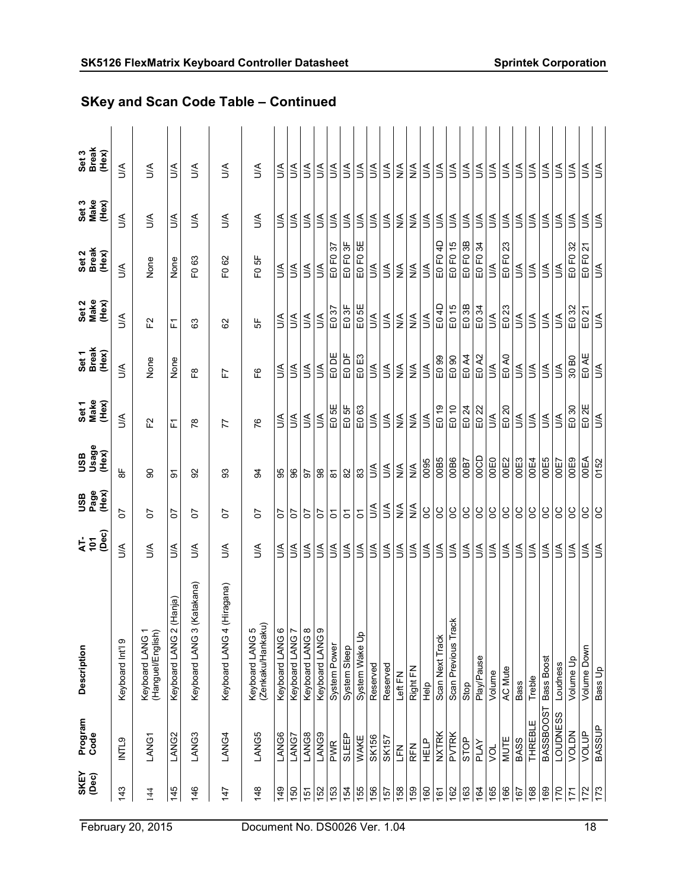| <b>SKEY</b><br>(Dec) | Program<br>Code   | Description                          | (Dec)<br><b>AF</b> | <b>USB</b><br>Page<br>(Hex)  | <b>a</b><br>1980<br>BSL<br>(Hex) | Set 1<br>Make<br>(Hex)           | Set 1<br>Break<br>(Hex) | Set 2<br>Make<br>(Hex)  | Set 2<br>Break<br>(Hex)            | Set 3<br>Make<br>(Hex)        | Set 3<br>Break<br>(Hex) |
|----------------------|-------------------|--------------------------------------|--------------------|------------------------------|----------------------------------|----------------------------------|-------------------------|-------------------------|------------------------------------|-------------------------------|-------------------------|
| 143                  | INTL9             | Keyboard Int'l 9                     | S                  | 5                            | $\frac{\mu}{8}$                  | S                                | S                       | $\leq$                  | $\mathbb{S}$                       | S                             | S                       |
| 144                  | LANG1             | (Hanguel/English)<br>Keyboard LANG   | S                  | 5                            | ႙                                | F2                               | None                    | 언                       | None                               | S                             | S                       |
| 145                  | LANG <sub>2</sub> | Keyboard LANG 2 (Hanja)              | $\leq$             | 5                            | ଚ                                | 置                                | None                    | 됴                       | None                               | S                             | S                       |
| 146                  | LANG3             | (Katakana)<br>ო<br>Keyboard LANG     | S                  | 5                            | ္တ                               | $\frac{8}{2}$                    | 69                      | යි                      | යි<br>운                            | λη                            | λ                       |
| 147                  | LANG4             | (Hiragana)<br>ч<br>Keyboard LANG     | S                  | 5                            | တ္တ                              | 77                               | 仁                       | 29                      | 8<br>운                             | S                             | S                       |
| 148                  | LANG5             | (Zenkaku/Hankaku)<br>Keyboard LANG 5 | S                  | 5                            | 3                                | 76                               | ပြို                    | 5                       | F <sub>0</sub> 5F                  | λη                            | S                       |
| 149                  | LANG6             | Keyboard LANG                        | ₹                  | 5                            | 99                               | УC                               | ₹,                      | $\leq$                  | ιŠ                                 | $\leq$                        | З                       |
| 150                  | LANG7             | Keyboard LANG 7                      | ₹                  | 5                            | 8                                | Š                                | ŠК                      | Š                       | Š                                  | ŠК                            | Š                       |
| 151                  | LANG8             | Keyboard LANG 8                      | S                  | 5                            | 5                                | $\leq$                           | Š                       | $\leq$                  | ₹                                  | ₹                             | S                       |
| 152                  | LANG9             | Keyboard LANG 9                      | λη                 | 5                            | 88                               | <b>AU</b>                        | <b>AU</b>               | S                       | ιŠ                                 | ΔŃ                            | λη                      |
| 153                  | <b>PWR</b>        | System Power                         | S                  | 5                            | $\overline{\infty}$              | E05E                             | EO DE                   | E037                    | E0 F0 37                           | λη                            | S                       |
| 154                  | SLEEP             | System Sleep                         | λη                 | $\delta$                     | $\rm 82$                         | E05F                             | E0 DF                   | E03F                    | E0 FO 3F                           | ₹                             | З                       |
| 155                  | WAKE              | System Wake Up                       | $\mathbb{S}$       | $\overline{5}$               | ္ထ                               | E063                             | EO E3                   | E05E                    | ₩<br>EO FO                         | $\leq$                        | $\mathbb{S}$            |
| 156                  | SK156             | Reserved                             | З                  | $\leq$                       | S                                | ΔŃ                               | ŠК                      | S                       | $\leq$                             | ₹                             | S                       |
| 157                  | <b>SK157</b>      | Reserved                             | S                  | ₹                            | S                                | ₹                                | Š                       | Š                       | Š                                  | ЗŚ                            | S                       |
| 158                  | 741<br>L          | Left FN                              | Š                  | $\frac{4}{5}$                | $\lessgtr$                       | $\frac{4}{5}$                    | $\stackrel{\leq}{\geq}$ | $\frac{4}{2}$           | $\frac{4}{2}$                      | $\frac{4}{2}$                 | $\frac{4}{2}$           |
| 159                  | <b>RFN</b>        | Right FN                             | Š                  | $\stackrel{\triangle}{\geq}$ | $\frac{4}{2}$                    | $\stackrel{\triangleleft}{\geq}$ | $\stackrel{\leq}{\geq}$ | $\stackrel{\leq}{\geq}$ | $\lessgtr$                         | $\frac{4}{2}$                 | $\frac{4}{2}$           |
| 09                   | HELP              | $\frac{1}{2}$                        | $\mathbb{S}$       | SC                           | 0095                             | ŠК                               | $\leq$                  | S                       | $\mathbb{S}$                       | ₹                             | ₹                       |
| 161                  | <b>NXTRK</b>      | Scan Next Track                      | ΔÁ                 | S                            | OOB5                             | E019                             | E0 99                   | E04D                    | E0 F0 4D                           | $\leq$                        | Š                       |
| 162                  | PVTRK             | Scan Previous Track                  | $\leq$             | SC                           | OOB6                             | E0 10                            | E0 90                   | E015                    | E0 F0 15                           | $\mathbb{S}$                  | <b>AU</b>               |
| 163                  | STOP              | Stop                                 | S                  | 8                            | <b>00B7</b>                      | E024                             | E0 A4                   | E03B                    | E0 F0 3B                           | ₹                             | ₹                       |
| 164                  | PLAY              | Play/Pause                           | S                  | SO                           | <b>OOCD</b>                      | E022                             | E0 A2                   | E0 34                   | $\mathfrak{F}$<br>EO <sub>FO</sub> | $\leq$                        | S                       |
| 165                  | ğ                 | Volume                               | S                  | ႘                            | <b>OOEO</b>                      | $\leq$                           | l≶                      | $\leq$                  | $\mathbb{R}$                       | $\leq$                        | S                       |
| 166                  | MUTE              | AC Mute                              | $\leq$             | ႘                            | <b>OOE2</b>                      | E020                             | E0 A0                   | E023                    | 23<br>EO FO                        | λη                            | ₹                       |
| 167                  | BASS              | <b>Bass</b>                          | S                  | ပ္ပ                          | OOE3                             | S                                | λη                      | ₹                       | S                                  | S                             | ₹                       |
| 168                  | <b>THREBLE</b>    | Treble                               | S                  | ပ္မ                          | <b>DOE4</b>                      | Š                                | <b>AC</b>               | $\leq$                  | З                                  | ₹                             | З                       |
| 169                  | BASSBOOST         | Bass Boost                           | ₹                  | ပ္ပ                          | OOE5                             | ΔN                               | S                       | S                       | $\leq$                             | ₹                             | ₹                       |
| 170                  | <b>LOUDNESS</b>   | Loudness                             | ₹                  | ပ္ပ                          | <b>OOE7</b>                      | ŠК                               | $\leq$                  | S                       | S                                  | ЗŚ                            | S                       |
| $\ddot{5}$           | VOLDN             | Volume Up                            | λη                 | S                            | OOE9                             | E030                             | 30 <sub>BO</sub>        | E032                    | E0 F0 32                           | ŚД                            | λη                      |
| 172                  | VOLUP             | Volume Down                          | $\mathbb{S}$       | SO                           | <b>OOEA</b>                      | E02E                             | EO AE                   | E021                    | $\tilde{z}$<br>EO FO               | $\stackrel{\triangleleft}{>}$ | $\leq$                  |
| $\overline{173}$     | <b>BASSUP</b>     | Bass Up                              | S                  | SO                           | 0152                             | S                                | $\leq$                  | $\mathbb{S}$            | $\mathbb{S}$                       | $\leq$                        | $\mathbb{S}$            |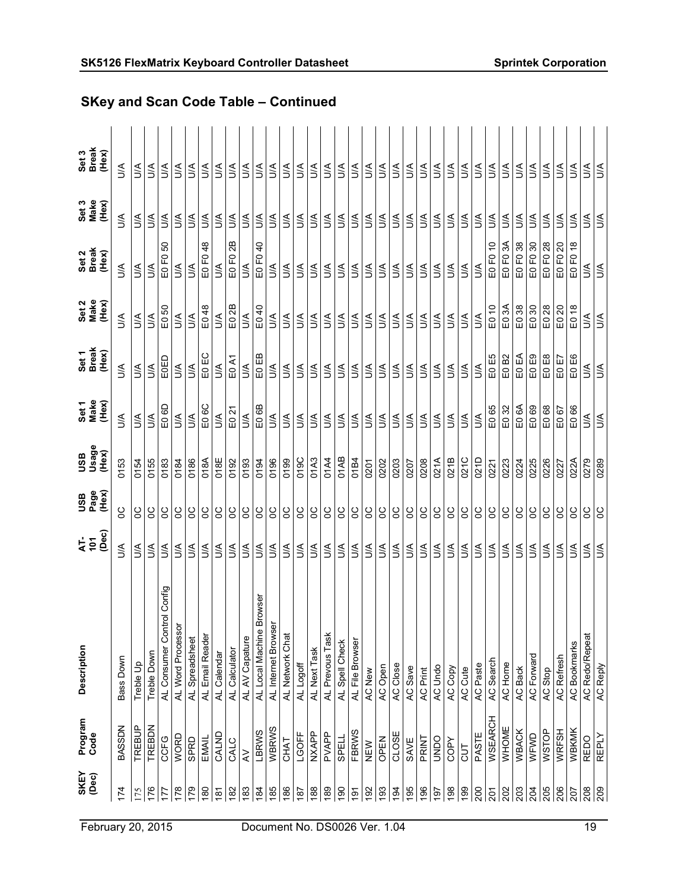| <b>SKEY</b><br>$(\text{Dec})$ | Program<br>Code | Description                                     | (Dec)<br><b>AF</b> | USB<br>Page<br>(Hex) | Xesh<br>Orage<br>Hex) | Set1<br>Make<br>(Hex) | Set 1<br>Break<br>(Hex) | Set 2<br>Make<br>(Hex) | Set 2<br>Break<br>(Hex)          | Set 3<br>Make<br>(Hex) | Set 3<br>Break<br>(Hex) |
|-------------------------------|-----------------|-------------------------------------------------|--------------------|----------------------|-----------------------|-----------------------|-------------------------|------------------------|----------------------------------|------------------------|-------------------------|
| 174                           | <b>BASSDN</b>   | Bass Down                                       | S                  | ပ္မ                  | 0153                  | S                     | <b>AU</b>               | S                      | λη                               | λη                     | λ                       |
| 175                           | TREBUP          | Treble Up                                       | λη                 | g                    | 0154                  | ₹                     | λη                      | ΔŚ.                    | λη                               | ΑN                     | S                       |
| 176                           | TREBDN          | Treble Down                                     | $\mathbb{S}$       | g                    | 0155                  | $\leq$                | $\leq$                  | $\mathbb{S}$           | $\leq$                           | ₹                      | S                       |
| 177                           | CCFG            | AL Consumer Control Config<br>AL Word Processor | S                  | ႘                    | 0183                  | E0 6D                 | EOED                    | E0 50                  | SO<br>$\overline{E}$<br>$\Omega$ | З                      | $\mathbb{S}$            |
| 178                           | <b>WORD</b>     |                                                 | S                  | ပ္ပ                  | 0184                  | $\mathbb{S}$          | l≶                      | $\mathbb{S}$           | $\mathbb{S}$                     | $\leq$                 | S                       |
| 179                           | <b>GPRD</b>     | AL Spreadsheet                                  | $\mathbb{S}$       | S                    | 0186                  | $\leq$                | $\leq$                  | $\leq$                 | $\mathbb{S}$                     | $\mathbb{S}$           | $\leq$                  |
| $\frac{80}{2}$                | EMAIL           | AL Email Reader                                 | $\mathbb{S}$       | SO                   | 018A                  | E0 6C                 | EO EC                   | E048                   | $\frac{8}{3}$<br>E0 F0           | $\leq$                 | λη                      |
| $\frac{5}{6}$                 | CALND           | AL Calendar                                     | $\lessgtr$         | SC                   | 018E                  | ŠК                    | S                       | $\mathbb{S}$           | $\mathbb{S}$                     | S                      | Š                       |
| 182                           | CALC            | AL Calculator                                   | $\mathbb{S}$       | SC                   | 0192                  | E0 21                 | E0 A1                   | E0 2B                  | 2B<br>EO FO                      | <b>AU</b>              | $\leq$                  |
| 183                           | $\gtrless$      | AL AV Capature                                  | <b>AU</b>          | SC                   | 0193                  | J∕A                   | SN                      | $\mathfrak{B}$         | $\leq$                           | $\leq$                 | $\mathbb S$             |
| 184                           | LBRWS           | Browser<br>AL Local Machine                     | $\mathbb{S}$       | SC                   | 0194                  | E0 6B                 | EO EB                   | E040                   | $\overline{a}$<br>EO FO.         | $\leq$                 | $\mathbb{S}$            |
| 185                           | WBRWS           | AL Internet Browser                             | ₹                  | SC                   | 0196                  | $\leq$                | ŠК                      | S                      | S                                | ŠК                     | S                       |
| 186                           | <b>CHAT</b>     | AL Network Chat                                 | S                  | SC                   | 0199                  | λη                    | λη                      | S                      | S                                | λη                     | S                       |
| $\frac{187}{2}$               | LGOFF           | AL Logoff                                       | S                  | S <sub>0</sub>       | 019C                  | ΔŃ                    | S                       | S                      | S                                | S                      | $\mathbb{S}$            |
| 188                           | <b>NXAPP</b>    | AL Next Task                                    | λÁ                 | SC                   | 01A3                  | ΔN                    | S                       | $\leq$                 | $\mathbb{S}$                     | Š                      | $\mathbb{S}$            |
| 189                           | PVAPP           | AL Prevous Task                                 | $\mathbb{S}$       | SC                   | 01A4                  | $\mathbb{S}$          | $\leq$                  | $\mathbb{S}$           | $\mathbb{S}$                     | λN                     | $\mathbb{S}$            |
| $\frac{60}{2}$                | <b>SPELL</b>    | AL Spell Check                                  | $\mathbb{S}$       | S                    | 01AB                  | ΔN                    | λη                      | $\mathbb{S}$           | $\mathbb{S}$                     | Š                      | ₹                       |
| $\frac{5}{2}$                 | FBRWS           | AL File Browser                                 | S                  |                      | 01B4                  | ΔN                    | УN                      | ŠΑ                     | S                                | S                      | $\leq$                  |
| $\frac{5}{2}$                 | NEW             | AC New                                          | S                  | SC                   | 0201                  | ₹                     | λη                      | S                      | S                                | λη                     | ₹                       |
| 193                           | OPEN            | AC Open                                         | S                  | SO                   | 0202                  | $\leq$                | $\leq$                  | $\leq$                 | $\mathbb{S}$                     | $\leq$                 | $\leq$                  |
| 194                           | CLOSE           | AC Close                                        | S                  | S                    | 0203                  | $\leq$                | ŚД                      | $\leq$                 | $\leq$                           | $\leq$                 | Š                       |
| 195                           | SAVE            | AC Save                                         | S                  | SO                   | 0207                  | ΔN                    | ΔN                      | $\mathbb{S}$           | S                                | ŠК                     | S                       |
| 196                           | PRINT           | AC Print                                        | S                  | SC                   | 0208                  | S                     | S                       | ŠΑ                     | З                                | Š                      | З                       |
| $\overline{6}$                | OUNDO           | AC Undo                                         | S                  | SC                   | 021A                  | $\leq$                | S                       | S                      | $\mathbb{S}$                     | S                      | S                       |
| 198                           | COPY            | AC Copy                                         | S                  | SC                   | 021B                  | ΔŃ                    | <b>AU</b>               | S                      | S                                | $\leq$                 | $\mathbb{S}$            |
| $\frac{8}{2}$                 | $\overline{5}$  | AC Cute                                         | $\leq$             | SC                   | 021C                  | ΔŃ                    | ŠΑ                      | $\mathbb{S}$           | S                                | ŠΑ                     | $\leq$                  |
| 200                           | PASTE           | AC Paste                                        | $\mathbb{S}$       | SC                   | 021D                  | $\leq$                | $\leq$                  | $\mathbb{S}$           | $\mathbb{S}$                     | <b>AU</b>              | $\mathbb{S}$            |
| 201                           | <b>WSEARCH</b>  | AC Search                                       | $\mathbb{S}$       | SC                   | 0221                  | E065                  | E0E5                    | E010                   | E0 F0 10                         | ΔN                     | $\mathbb{S}$            |
| 202                           | WHOME           | AC Home                                         | ₹                  | SO                   | 0223                  | E0 32                 | E0B2                    | E03A                   | E0 F0 3A                         | <b>AU</b>              | S                       |
| 203                           | <b>WBACK</b>    | AC Back                                         | $\mathbb{S}$       | SC                   | 0224                  | E06A                  | EO EA                   | E038                   | E0 F0 38                         | $\leq$                 | $\mathbb{S}$            |
| 204                           | WFWD            | AC Forward                                      | $\leq$             | SC                   | 0225                  | E069                  | E0E9                    | E030                   | E0 F0 30                         | $\leq$                 | ₹                       |
| 205                           | WSTOP           | AC Stop                                         | $\leq$             | SC                   | 0226                  | E068                  | EO E8                   | E028                   | E0 F0 28                         | Š                      | $\mathbb{S}$            |
| 206                           | WRFSH           | <b>AC Refresh</b>                               | ₹                  | ပ္ပ                  | 0227                  | E067                  | EO E7                   | E0 20                  | E0 F0 20                         | ŚЙ                     | ΔN                      |
| 207                           | WBKMK           | <b>AC Bookmarks</b>                             | S                  | <b>SC</b>            | 022A                  | 89<br>$\Xi$           | EO E6                   | $E0$ 18                | $\frac{8}{10}$<br>FQ<br>$\Omega$ | З                      | S                       |
| 208                           | <b>REDO</b>     | <b>AC Redo/Repeat</b>                           | S                  | ႘                    | 0279                  | S                     | ΔÃ                      | S                      | S                                | S                      | S                       |
| 209                           | <b>REPLY</b>    | AC Reply                                        | ŃП                 | SO                   | 0289                  | <b>AIU</b>            | l≶<br>I                 | ŚЛ                     | <b>A/N</b>                       | <b>A/D</b>             | ЖN                      |

# SKey and Scan Code Table – Continued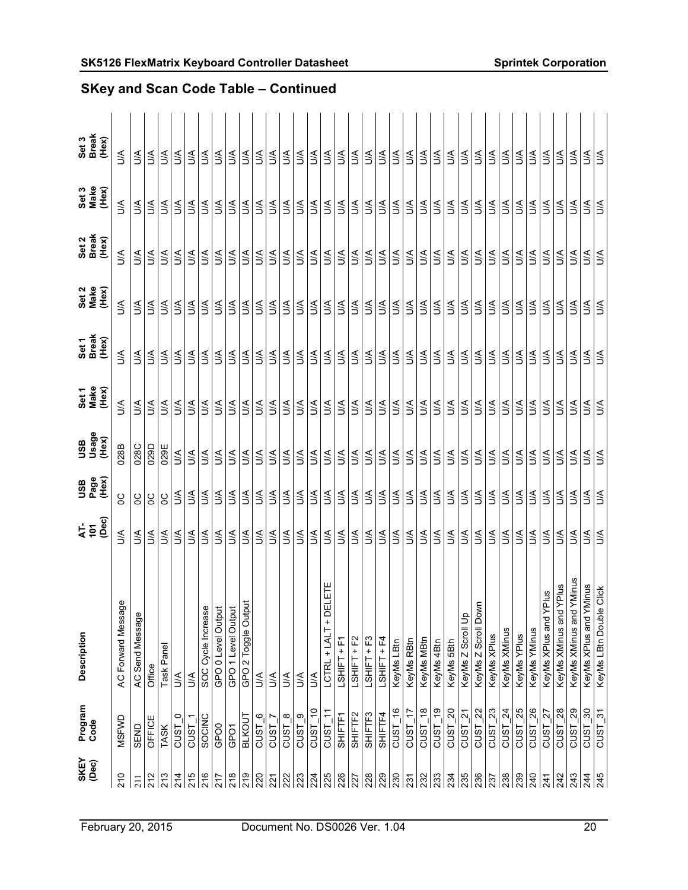| SKEY<br>(Dec) | Program<br>Code                    | Description                                                    | (Dec)<br><b>AF</b> | USB<br>Page<br>(Hex) | usage<br>Usage<br>(Hex) | Set1<br>Make<br>(Hex) | Set 1<br>Break<br>(Hex) | Set 2<br>Make<br>(Hex) | Set 2<br>Break<br>(Hex) | Set 3<br>Make<br>(Hex) | Set 3<br>Break<br>(Hex) |
|---------------|------------------------------------|----------------------------------------------------------------|--------------------|----------------------|-------------------------|-----------------------|-------------------------|------------------------|-------------------------|------------------------|-------------------------|
| 210           | MSFWD                              | AC Forward Message                                             | S                  | g                    | 028B                    | $\leq$                | $\leq$                  | Š                      | S                       | $\leq$                 | λη                      |
| 211           | SEND                               | AC Send Message                                                | λη                 | S                    | 028C                    | $\leq$                | ΔŃ                      | λη                     | λη                      | $\leq$                 | $\mathbb{S}$            |
| 212           | OFFICE                             | Office                                                         | S                  | ႘                    | 029D                    | $\leq$                | S                       | S                      | S                       | <b>AU</b>              | S                       |
| 213           | <b>TASK</b>                        | Task Panel                                                     | S                  | SC                   | 029E                    | $\leq$                | S                       | S                      | S                       | ΔŃ                     | S                       |
| 214           | $\circ$<br>cust                    | $\mathbb{S}$                                                   | S                  | $\leq$               | $\mathbb{S}$            | $\leq$                | $\leq$                  | S                      | S                       | $\leq$                 | S                       |
| 215           | <b>CUST</b>                        | $\mathbb{S}$                                                   | $\mathbb{S}$       | $\leq$               | $\mathbb{S}$            | $\leq$                | ΔŃ                      | $\mathbb{S}$           | S                       | ΔŃ                     | $\mathbb{S}$            |
| 216           | SOCINC                             |                                                                | $\leq$             | λη                   | $\mathbb{S}$            | ΔŃ                    | $\leq$                  | $\mathbb{S}$           | λ                       | $\leq$                 | λÁ                      |
| 217           | GPO <sub>0</sub>                   | SOC Cycle Increase<br>GPO 0 Level Output<br>GPO 1 Level Output | S                  | λη                   | S                       | S                     | S                       | S                      | S                       | S                      | $\leq$                  |
| 218           | GPO1                               |                                                                | $\leq$             | ΔŃ                   | $\leq$                  | Š                     | ΔŃ                      | $\leq$                 | S                       | ΔŃ                     | S                       |
| 219           | <b>BLKOUT</b>                      | GPO 2 Toggle Output                                            | $\mathbb{S}$       | $\mathbb{S}$         | $\mathbb{S}$            | ΔŃ                    | $\mathbb{S}$            | $\mathbb{S}$           | l≦                      | ΔN                     | $\mathbb{S}$            |
| 220           | ဖ<br><b>CUST</b>                   | $\mathbb S$                                                    | $\mathbb{S}$       | $\mathbb{S}$         | $\mathbb{S}$            | λη                    | $\mathbb{S}$            | $\mathbb{S}$           | $\mathbb{S}$            | $\mathbb{S}$           | S                       |
| 221           | cust                               | S                                                              | S                  | $\leq$               | S                       | ŠК                    | $\mathbb{S}$            | ₹                      | S                       | $\mathbb{S}$           | ₹                       |
| 222           | $\infty$<br>CUST                   | S                                                              | λ                  | ₹                    | S                       | λη                    | Š                       | λÓ                     | S                       | λη                     | λ                       |
| 223           | $\circ$<br>CUST                    | λη                                                             | λη                 | λη                   | λη                      | Š                     | λη                      | λη                     | λη                      | ΔŃ                     | λη                      |
| 224           | $\frac{1}{2}$<br>CUST              | $\mathbb{S}$                                                   | $\leq$             | <b>AU</b>            | $\mathbb{S}$            | $\mathbb{S}$          | $\leq$                  | $\mathbb{S}$           | $\mathbb{S}$            | $\leq$                 | $\leq$                  |
| 225           | $CUST_1'$                          | DELETE<br>$\ddot{}$<br>LCTRL + LALT                            | $\mathbb{S}$       | $\leq$               | S                       | λη                    | $\mathbb{S}$            | $\mathbb{S}$           | $\mathbb{S}$            | $\mathbb{S}$           | $\mathbb{S}$            |
| 226           | SHIFTF1                            | LSHIFT+F1                                                      | λη                 | $\mathbb{S}$         | S                       | Š                     | ΔN                      | $\mathbb{S}$           | λη                      | λη                     | $\leq$                  |
| 227           | SHIFTF2                            | LSHIFT + F2                                                    | S                  | λN                   | $\mathbb{S}$            | S                     | $\mathbb{S}$            | S                      | S                       | $\leq$                 | $\mathbb{S}$            |
| 228           | SHIFTF3                            | LSHIFT+F3                                                      | λη                 | Š                    | $\leq$                  | λη                    | $\leq$                  | $\leq$                 | S                       | $\leq$                 | S                       |
| 229           | SHIFTF4                            | LSHIFT + F4                                                    | $\mathbb{S}$       | λη                   | $\mathbb{S}$            | Š                     | $\leq$                  | $\mathbb{S}$           | $\mathbb{S}$            | $\leq$                 | $\mathbb{S}$            |
| 230           | $CUST_16$                          | KeyMs LBtn                                                     | $\mathbb{S}$       | $\mathbb{S}$         | $\mathbb{S}$            | ΔŃ                    | $\leq$                  | $\mathbb{S}$           | $\mathbb{S}$            | $\leq$                 | $\leq$                  |
| 231           | $\ddot{ }$<br>CUST <sub>.</sub>    | KeyMs RBtn                                                     | $\mathbb{S}$       | λη                   | $\mathbb{S}$            | $\leq$                | λη                      | $\mathbb{S}$           | S                       | λη                     | $\leq$                  |
| 232           | $\frac{8}{3}$<br>CUST              | KeyMs MBtn                                                     | ₹                  | $\mathbb{S}$         | $\mathbb{S}$            | ŠК                    | λη                      | ₹.                     | S                       | $\mathbb{S}$           | S                       |
| 233           | $\frac{6}{5}$<br>CUST              | KeyMs 4Btn                                                     | S                  | Š                    | S                       | Š                     | $\leq$                  | $\leq$                 | S                       | S                      | λ                       |
| 234           | $\Omega$<br>CUST                   | KeyMs 5Bth                                                     | $\leq$             | λN                   | $\leq$                  | $\leq$                | λN                      | $\leq$                 | λη                      | ΔŃ                     | λη                      |
| 235           | $\approx$<br>CUST                  | KeyMs Z Scroll Up                                              | $\leq$             | $\leq$               | $\leq$                  | $\leq$                | $\leq$                  | $\mathbb{S}$           | ιŠ                      | <b>AU</b>              | $\mathbb{S}$            |
| 236           | $\approx$<br>CUST_                 | KeyMs Z Scroll Down                                            | $\mathbb{S}$       | $\leq$               | $\mathbb{S}$            | $\leq$                | $\mathbb{S}$            | $\mathbb{S}$           | $\mathbb{S}$            | $\leq$                 | $\mathbb{S}$            |
| 237           | 23<br>CUST                         | KeyMs XPlus                                                    | S                  | $\mathbb{S}$         | $\mathbb{S}$            | λη                    | $\leq$                  | S                      | λη                      | λη                     | $\leq$                  |
| 238           | $\overline{24}$<br>CUST            | KeyMs XMinus                                                   | $\leq$             | λN                   | $\mathbb{S}$            | $\leq$                | <b>AU</b>               | $\mathbb{S}$           | S                       | $\leq$                 | <b>AU</b>               |
| 239           | $CUST_25$                          | KeyMs YPlus                                                    | S                  | $\leq$               | S                       | $\leq$                | $\leq$                  | S                      | S                       | $\leq$                 | S                       |
| 240           | 26<br><b>CUST</b>                  | KeyMs YMinus                                                   | $\mathbb{S}$       | $\leq$               | $\mathbb{S}$            | $\leq$                | $\leq$                  | $\mathbb{S}$           | $\mathbb{S}$            | $\leq$                 | $\mathbb{S}$            |
| 241           | $\overline{27}$<br><b>CUST</b>     | YPlus<br>KeyMs XPlus and                                       | S                  | $\mathbb{S}$         | $\mathbb{S}$            | Š                     | $\leq$                  | $\mathbb{S}$           | $\mathbb{S}$            | $\mathbb{S}$           | $\mathbb{S}$            |
| 242           | 28<br>cust                         | KeyMs XMinus and YPlus                                         | ₹                  | $\mathbb{S}$         | S                       | ₹                     | $\leq$                  | λU                     | ₹                       | $\leq$                 | λÓ                      |
| 243           | 29<br>cust                         | d YMinus<br>KeyMs XMinus an                                    | Š                  | λη                   | λÓ                      | λη                    | λη                      | $\leq$                 | λÓ                      | λη                     | $\leq$                  |
| 244           | $\frac{6}{2}$<br>CUST              | YMinus<br>KeyMs XPlus and                                      | $\leq$             | $\leq$               | ιŠ.                     | ΔŃ                    | $\leq$                  | $\mathbb{S}$           | $\preceq$               | ΔŃ                     | $\mathbb{S}$            |
| 245           | $\frac{1}{3}$<br>CUST <sub>_</sub> | le Click<br>KeyMs LBtn Doub                                    | Š                  | <b>AU</b>            | ÌЯ                      | $\leq$                | ΔŃ                      | $\leq$                 | <b>AU</b>               | Š                      | S                       |

# SK5126 FlexMatrix Keyboard Controller Datasheet Sprintek Corporation SKey and Scan Code Table – Continued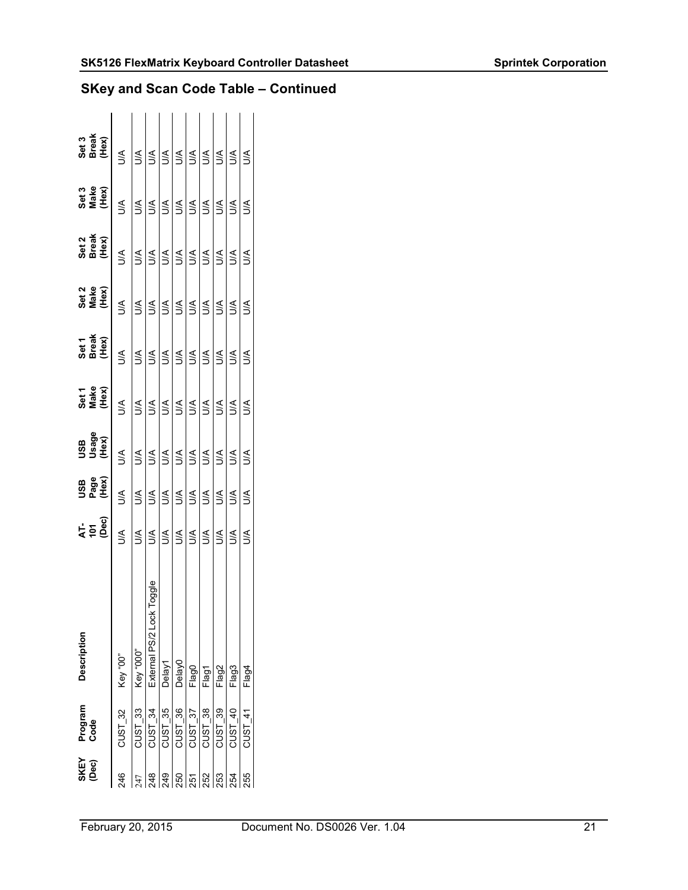| SKEY<br>(Dec) | Program   | <b>Description</b>           |              |                             |                       |                        |                         |                        |                         |                        |                         |
|---------------|-----------|------------------------------|--------------|-----------------------------|-----------------------|------------------------|-------------------------|------------------------|-------------------------|------------------------|-------------------------|
|               | Code      |                              | ት<br>15<br>መ | <b>USB</b><br>Page<br>(Hex) | 0SB<br>Usage<br>(Hex) | Set 1<br>Make<br>(Hex) | Set 1<br>Break<br>(Hex) | Set 2<br>Make<br>(Hex) | Set 2<br>Break<br>(Hex) | Set 3<br>Make<br>(Hex) | Set 3<br>Break<br>(Hex) |
| 246           | $CUST_32$ | Key "00"                     | Š            | УC                          | Š                     | УC                     | УÇ                      | Š                      | Š                       | Š                      | $\leq$                  |
|               | $CUST_33$ | Key "000"                    | $\leq$       | УC                          | Ś                     | ∕<                     | $\leq$                  | ร์                     | $\leq$                  | ∕<                     | ₹                       |
|               | $CUST_34$ | Toggle<br>External PS/2 Lock | ₹<br>Š       | ∕<                          | Š                     | УC                     | УC                      | Š                      | Š                       | УC                     | ₹                       |
| 24            | $CUST_35$ | Delay1                       | ₹<br>Š       | ∕<                          | Š                     | <b>ACC</b>             | Š                       | Š                      | Š                       | УC                     | Š                       |
| 88            | $CUST_36$ | Delay0                       | $\leq$       | УÇ                          | ЗŚ                    | S                      | <b>NC</b>               | S                      | S                       | <b>NC</b>              | S                       |
| 55            | $CUST_37$ | Flag0                        | Ś            | λJ                          | ₹                     | S                      | <b>NC</b>               | S                      | S                       | <b>NC</b>              | Š                       |
| 252           | $CUST_38$ | Flag1                        | Š            | ₹                           | Š                     | S                      | УC                      | S                      | Š                       | <b>NC</b>              | Š                       |
| 253           | $CUST_39$ | Flag2                        | ₹            | ŠК                          | Ś                     | УĆ                     | Š                       | ₹                      | ₹                       | ŠК                     | ₹                       |
| 254           | $CUST_40$ | Flag3                        | Š            | ŠК                          | Š                     | <b>AC</b>              | ЗŚ                      | ₹                      | S                       | <b>AC</b>              | ₹                       |
| 55            | $CUST$ 41 | Flag4                        | Š            | $\leq$                      | Š                     | ŠЕ                     | ₹                       | ₹                      | ₹                       | ₹                      | ₹                       |
|               |           |                              |              |                             |                       |                        |                         |                        |                         |                        |                         |

## SKey and Scan Code Table – Continued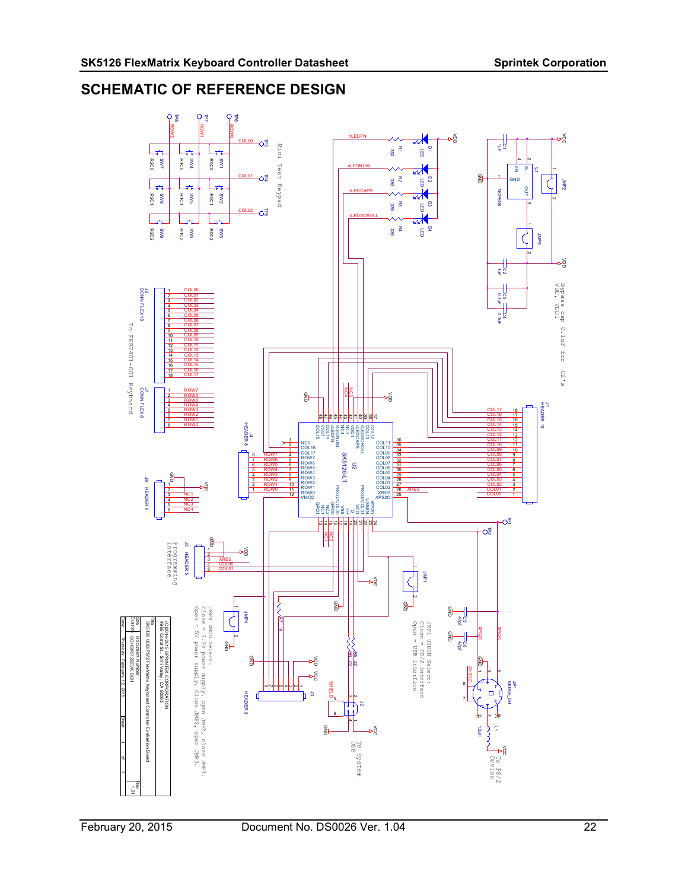## SCHEMATIC OF REFERENCE DESIGN

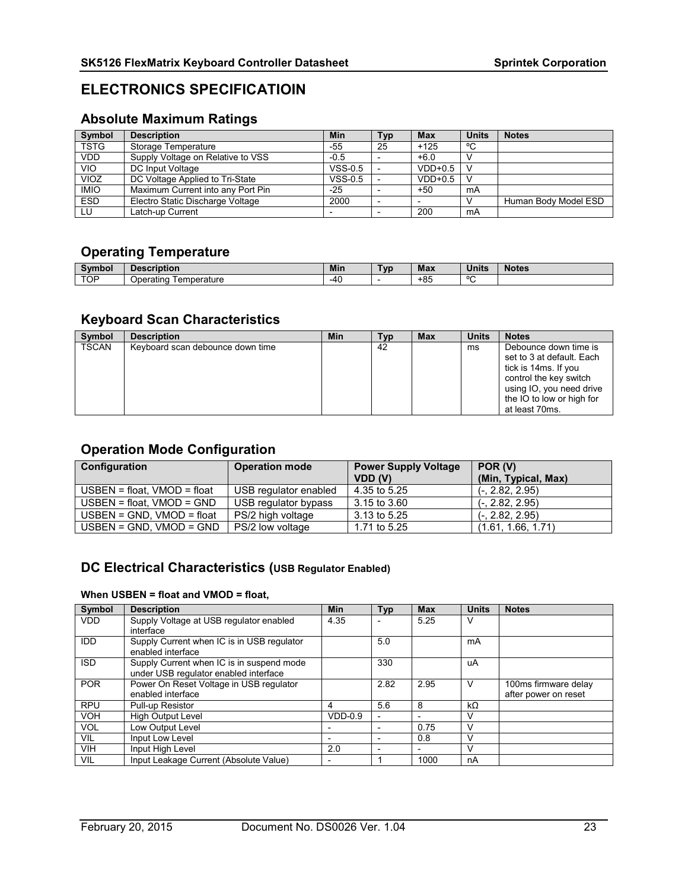## ELECTRONICS SPECIFICATIOIN

## Absolute Maximum Ratings

| <b>Symbol</b> | <b>Description</b>                | Min       | <b>Typ</b>               | <b>Max</b> | <b>Units</b> | <b>Notes</b>         |
|---------------|-----------------------------------|-----------|--------------------------|------------|--------------|----------------------|
| <b>TSTG</b>   | Storage Temperature               | $-55$     | 25                       | $+125$     | °C           |                      |
| <b>VDD</b>    | Supply Voltage on Relative to VSS | $-0.5$    |                          | $+6.0$     |              |                      |
| VIO           | DC Input Voltage                  | $VSS-0.5$ |                          | $VDD+0.5$  |              |                      |
| VIOZ          | DC Voltage Applied to Tri-State   | $VSS-0.5$ |                          | $VDD+0.5$  |              |                      |
| <b>IMIO</b>   | Maximum Current into any Port Pin | $-25$     |                          | +50        | mA           |                      |
| <b>ESD</b>    | Electro Static Discharge Voltage  | 2000      | $\overline{\phantom{0}}$ |            |              | Human Body Model ESD |
| LU            | Latch-up Current                  |           | $\overline{\phantom{0}}$ | 200        | mA           |                      |

## Operating Temperature

|     | <b>cription</b><br>ΠT    | <b>Min</b> | `vr | Max   | $1 - 14$<br>,,,,, | Notes |
|-----|--------------------------|------------|-----|-------|-------------------|-------|
| TOP | ⊺emperature<br>Operating | $-4C$      |     | $+85$ | $\circ$           |       |

## Keyboard Scan Characteristics

| Symbol       | <b>Description</b>               | Min | Тур | <b>Max</b> | <b>Units</b> | <b>Notes</b>                                                                                                                                                                    |
|--------------|----------------------------------|-----|-----|------------|--------------|---------------------------------------------------------------------------------------------------------------------------------------------------------------------------------|
| <b>TSCAN</b> | Keyboard scan debounce down time |     | 42  |            | ms           | Debounce down time is<br>set to 3 at default. Each<br>tick is 14ms. If you<br>control the key switch<br>using IO, you need drive<br>the IO to low or high for<br>at least 70ms. |

## Operation Mode Configuration

| Configuration                    | <b>Operation mode</b> | <b>Power Supply Voltage</b><br>VDD (V) | POR (V)<br>(Min, Typical, Max) |
|----------------------------------|-----------------------|----------------------------------------|--------------------------------|
| $USBEN = float$ , $VMOD = float$ | USB regulator enabled | 4.35 to 5.25                           | $(-, 2.82, 2.95)$              |
| $USBEN = float$ , $VMOD = GND$   | USB regulator bypass  | 3.15 to 3.60                           | $(-, 2.82, 2.95)$              |
| $USBEN = GND$ . $VMOD = float$   | PS/2 high voltage     | 3.13 to 5.25                           | $(-, 2.82, 2.95)$              |
| $USBEN = GND$ . $VMOD = GND$     | PS/2 low voltage      | 1.71 to 5.25                           | (1.61, 1.66, 1.71)             |

## DC Electrical Characteristics (USB Regulator Enabled)

#### When USBEN = float and VMOD = float,

| Symbol     | <b>Description</b>                                                                 | <b>Min</b>               | <b>Typ</b>               | <b>Max</b> | <b>Units</b> | <b>Notes</b>         |
|------------|------------------------------------------------------------------------------------|--------------------------|--------------------------|------------|--------------|----------------------|
| <b>VDD</b> | Supply Voltage at USB regulator enabled                                            | 4.35                     | $\overline{\phantom{0}}$ | 5.25       | v            |                      |
|            | interface                                                                          |                          |                          |            |              |                      |
| IDD.       | Supply Current when IC is in USB regulator<br>enabled interface                    |                          | 5.0                      |            | mA           |                      |
| ISD        | Supply Current when IC is in suspend mode<br>under USB regulator enabled interface |                          | 330                      |            | uA           |                      |
| <b>POR</b> | Power On Reset Voltage in USB regulator                                            |                          | 2.82                     | 2.95       | v            | 100ms firmware delay |
|            | enabled interface                                                                  |                          |                          |            |              | after power on reset |
| <b>RPU</b> | Pull-up Resistor                                                                   | 4                        | 5.6                      | 8          | kΩ           |                      |
| <b>VOH</b> | <b>High Output Level</b>                                                           | $VDD-0.9$                | $\overline{\phantom{a}}$ |            | v            |                      |
| <b>VOL</b> | Low Output Level                                                                   |                          | $\overline{\phantom{0}}$ | 0.75       |              |                      |
| VIL        | Input Low Level                                                                    | $\overline{\phantom{0}}$ | $\overline{\phantom{0}}$ | 0.8        |              |                      |
| <b>VIH</b> | Input High Level                                                                   | 2.0                      | $\overline{\phantom{0}}$ |            | V            |                      |
| VIL        | Input Leakage Current (Absolute Value)                                             | $\overline{\phantom{0}}$ |                          | 1000       | nA           |                      |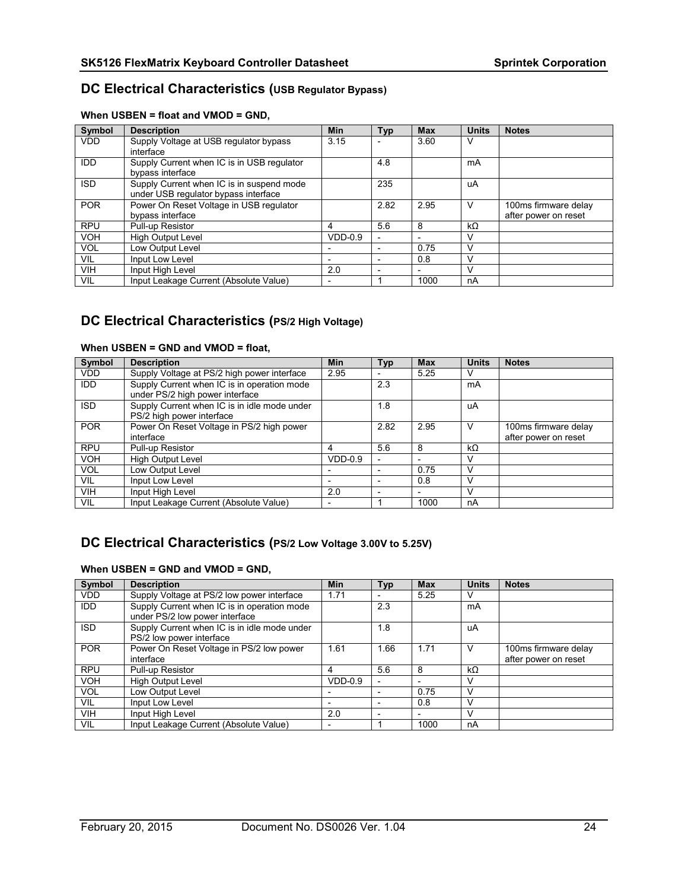## DC Electrical Characteristics (USB Regulator Bypass)

| Symbol     | <b>Description</b>                         | <b>Min</b> | Typ                      | <b>Max</b>               | <b>Units</b> | <b>Notes</b>         |
|------------|--------------------------------------------|------------|--------------------------|--------------------------|--------------|----------------------|
| <b>VDD</b> | Supply Voltage at USB regulator bypass     | 3.15       | $\overline{\phantom{a}}$ | 3.60                     | ν            |                      |
|            | interface                                  |            |                          |                          |              |                      |
| <b>IDD</b> | Supply Current when IC is in USB regulator |            | 4.8                      |                          | mA           |                      |
|            | bypass interface                           |            |                          |                          |              |                      |
| <b>ISD</b> | Supply Current when IC is in suspend mode  |            | 235                      |                          | uA           |                      |
|            | under USB regulator bypass interface       |            |                          |                          |              |                      |
| <b>POR</b> | Power On Reset Voltage in USB regulator    |            | 2.82                     | 2.95                     | v            | 100ms firmware delay |
|            | bypass interface                           |            |                          |                          |              | after power on reset |
| <b>RPU</b> | Pull-up Resistor                           | 4          | 5.6                      | 8                        | $k\Omega$    |                      |
| <b>VOH</b> | <b>High Output Level</b>                   | $VDD-0.9$  | $\overline{\phantom{0}}$ |                          | v            |                      |
| <b>VOL</b> | Low Output Level                           |            | $\overline{\phantom{a}}$ | 0.75                     | v            |                      |
| VIL.       | Input Low Level                            |            | $\overline{\phantom{a}}$ | 0.8                      | V            |                      |
| <b>VIH</b> | Input High Level                           | 2.0        | $\overline{\phantom{0}}$ | $\overline{\phantom{0}}$ | $\vee$       |                      |
| VIL        | Input Leakage Current (Absolute Value)     |            |                          | 1000                     | nA           |                      |

#### When USBEN = float and VMOD = GND,

## DC Electrical Characteristics (PS/2 High Voltage)

#### When USBEN = GND and VMOD = float,

| Symbol     | <b>Description</b>                                                             | <b>Min</b> | Typ                      | <b>Max</b> | <b>Units</b> | <b>Notes</b>                                 |
|------------|--------------------------------------------------------------------------------|------------|--------------------------|------------|--------------|----------------------------------------------|
| <b>VDD</b> | Supply Voltage at PS/2 high power interface                                    | 2.95       | $\overline{\phantom{0}}$ | 5.25       |              |                                              |
| <b>IDD</b> | Supply Current when IC is in operation mode<br>under PS/2 high power interface |            | 2.3                      |            | mA           |                                              |
| <b>ISD</b> | Supply Current when IC is in idle mode under<br>PS/2 high power interface      |            | 1.8                      |            | uA           |                                              |
| <b>POR</b> | Power On Reset Voltage in PS/2 high power<br>interface                         |            | 2.82                     | 2.95       |              | 100ms firmware delay<br>after power on reset |
| <b>RPU</b> | Pull-up Resistor                                                               | 4          | 5.6                      | 8          | kΩ           |                                              |
| <b>VOH</b> | <b>High Output Level</b>                                                       | $VDD-0.9$  | $\overline{\phantom{a}}$ |            |              |                                              |
| <b>VOL</b> | Low Output Level                                                               |            | $\overline{\phantom{a}}$ | 0.75       |              |                                              |
| VIL        | Input Low Level                                                                |            | $\overline{\phantom{a}}$ | 0.8        |              |                                              |
| <b>VIH</b> | Input High Level                                                               | 2.0        | ٠                        |            |              |                                              |
| <b>VIL</b> | Input Leakage Current (Absolute Value)                                         |            |                          | 1000       | nA           |                                              |

## DC Electrical Characteristics (PS/2 Low Voltage 3.00V to 5.25V)

#### When USBEN = GND and VMOD = GND,

| Symbol     | <b>Description</b>                                                            | Min       | Typ                      | <b>Max</b>               | <b>Units</b> | <b>Notes</b>                                 |
|------------|-------------------------------------------------------------------------------|-----------|--------------------------|--------------------------|--------------|----------------------------------------------|
| <b>VDD</b> | Supply Voltage at PS/2 low power interface                                    | 1.71      | $\overline{\phantom{a}}$ | 5.25                     | v            |                                              |
| <b>IDD</b> | Supply Current when IC is in operation mode<br>under PS/2 low power interface |           | 2.3                      |                          | mA           |                                              |
| ISD        | Supply Current when IC is in idle mode under<br>PS/2 low power interface      |           | 1.8                      |                          | uA           |                                              |
| <b>POR</b> | Power On Reset Voltage in PS/2 low power<br>interface                         | 1.61      | 1.66                     | 1.71                     | v            | 100ms firmware delay<br>after power on reset |
| <b>RPU</b> | Pull-up Resistor                                                              | 4         | 5.6                      | 8                        | $k\Omega$    |                                              |
| <b>VOH</b> | <b>High Output Level</b>                                                      | $VDD-0.9$ | $\overline{\phantom{a}}$ |                          | V            |                                              |
| <b>VOL</b> | Low Output Level                                                              |           | $\overline{\phantom{a}}$ | 0.75                     | v            |                                              |
| VIL        | Input Low Level                                                               |           |                          | 0.8                      |              |                                              |
| <b>VIH</b> | Input High Level                                                              | 2.0       | $\overline{\phantom{0}}$ | $\overline{\phantom{0}}$ | V            |                                              |
| VIL        | Input Leakage Current (Absolute Value)                                        |           |                          | 1000                     | nA           |                                              |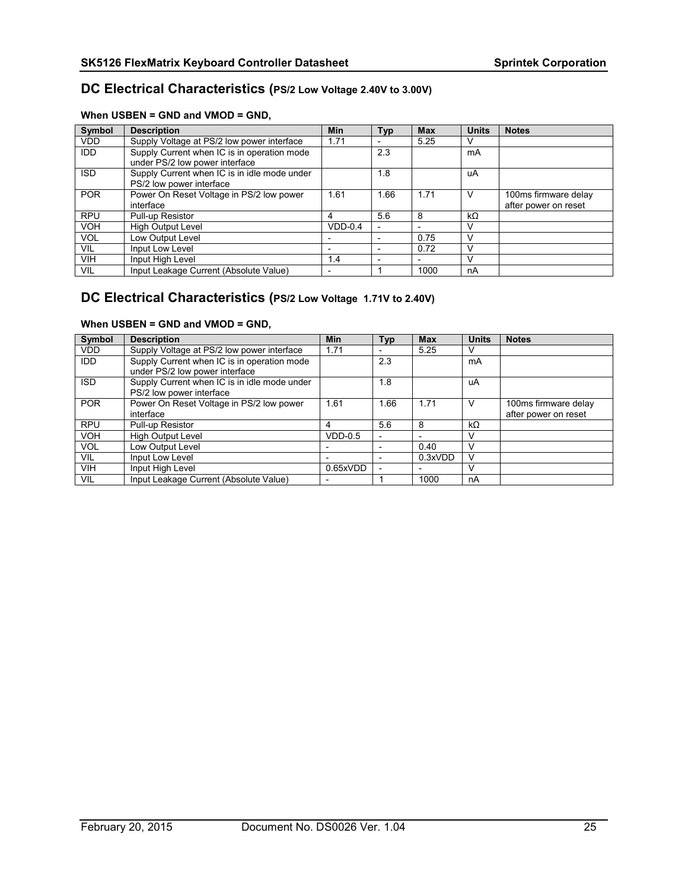### DC Electrical Characteristics (PS/2 Low Voltage 2.40V to 3.00V)

#### When USBEN = GND and VMOD = GND,

| Symbol     | <b>Description</b>                                                            | <b>Min</b> | <b>Typ</b>               | <b>Max</b> | <b>Units</b> | <b>Notes</b>                                 |
|------------|-------------------------------------------------------------------------------|------------|--------------------------|------------|--------------|----------------------------------------------|
| <b>VDD</b> | Supply Voltage at PS/2 low power interface                                    | 1.71       | $\overline{\phantom{a}}$ | 5.25       |              |                                              |
| IDD        | Supply Current when IC is in operation mode<br>under PS/2 low power interface |            | 2.3                      |            | mA           |                                              |
| <b>ISD</b> | Supply Current when IC is in idle mode under<br>PS/2 low power interface      |            | 1.8                      |            | uA           |                                              |
| <b>POR</b> | Power On Reset Voltage in PS/2 low power<br>interface                         | 1.61       | 1.66                     | 1.71       | ν            | 100ms firmware delay<br>after power on reset |
| <b>RPU</b> | Pull-up Resistor                                                              | 4          | 5.6                      | 8          | $k\Omega$    |                                              |
| <b>VOH</b> | <b>High Output Level</b>                                                      | $VDD-0.4$  |                          |            |              |                                              |
| <b>VOL</b> | Low Output Level                                                              |            |                          | 0.75       |              |                                              |
| VIL        | Input Low Level                                                               |            |                          | 0.72       |              |                                              |
| <b>VIH</b> | Input High Level                                                              | 1.4        |                          |            |              |                                              |
| VIL        | Input Leakage Current (Absolute Value)                                        |            |                          | 1000       | nA           |                                              |

## DC Electrical Characteristics (PS/2 Low Voltage 1.71V to 2.40V)

#### When USBEN = GND and VMOD = GND,

| Symbol     | <b>Description</b>                                                            | Min       | <b>Typ</b>               | <b>Max</b>               | <b>Units</b> | <b>Notes</b>                                 |
|------------|-------------------------------------------------------------------------------|-----------|--------------------------|--------------------------|--------------|----------------------------------------------|
| <b>VDD</b> | Supply Voltage at PS/2 low power interface                                    | 1.71      | $\overline{\phantom{0}}$ | 5.25                     |              |                                              |
| <b>IDD</b> | Supply Current when IC is in operation mode<br>under PS/2 low power interface |           | 2.3                      |                          | mA           |                                              |
| <b>ISD</b> | Supply Current when IC is in idle mode under<br>PS/2 low power interface      |           | 1.8                      |                          | uA           |                                              |
| <b>POR</b> | Power On Reset Voltage in PS/2 low power<br>interface                         | 1.61      | .66                      | 1.71                     | ν            | 100ms firmware delay<br>after power on reset |
| <b>RPU</b> | Pull-up Resistor                                                              | 4         | 5.6                      | 8                        | kΩ           |                                              |
| <b>VOH</b> | <b>High Output Level</b>                                                      | $VDD-0.5$ | $\overline{\phantom{0}}$ | -                        |              |                                              |
| <b>VOL</b> | Low Output Level                                                              |           | $\overline{\phantom{0}}$ | 0.40                     |              |                                              |
| VIL        | Input Low Level                                                               |           | $\overline{\phantom{0}}$ | 0.3xVDD                  |              |                                              |
| <b>VIH</b> | Input High Level                                                              | 0.65xVDD  |                          | $\overline{\phantom{0}}$ |              |                                              |
| <b>VIL</b> | Input Leakage Current (Absolute Value)                                        |           |                          | 1000                     | nA           |                                              |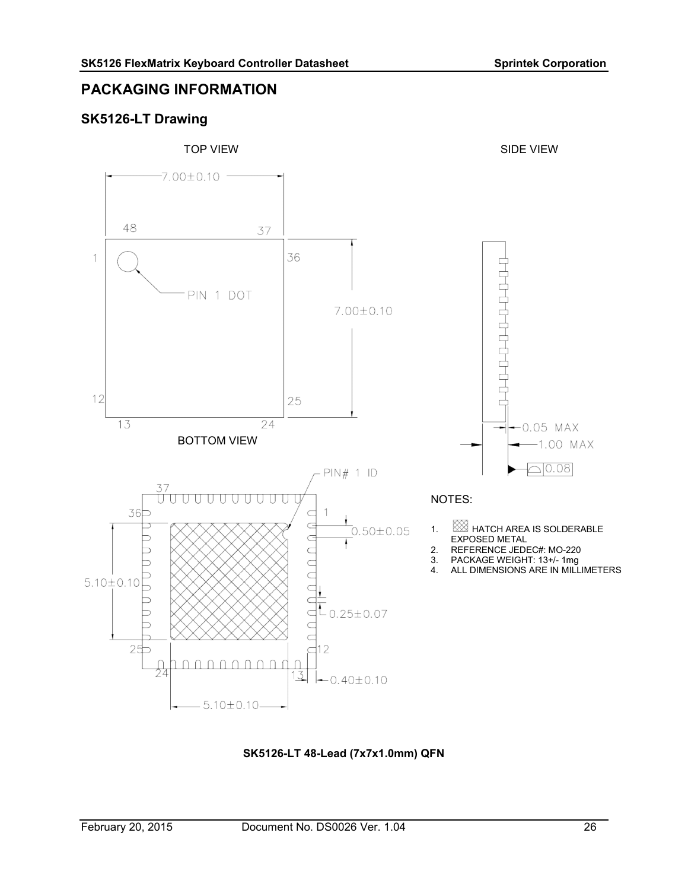## PACKAGING INFORMATION

## SK5126-LT Drawing



SK5126-LT 48-Lead (7x7x1.0mm) QFN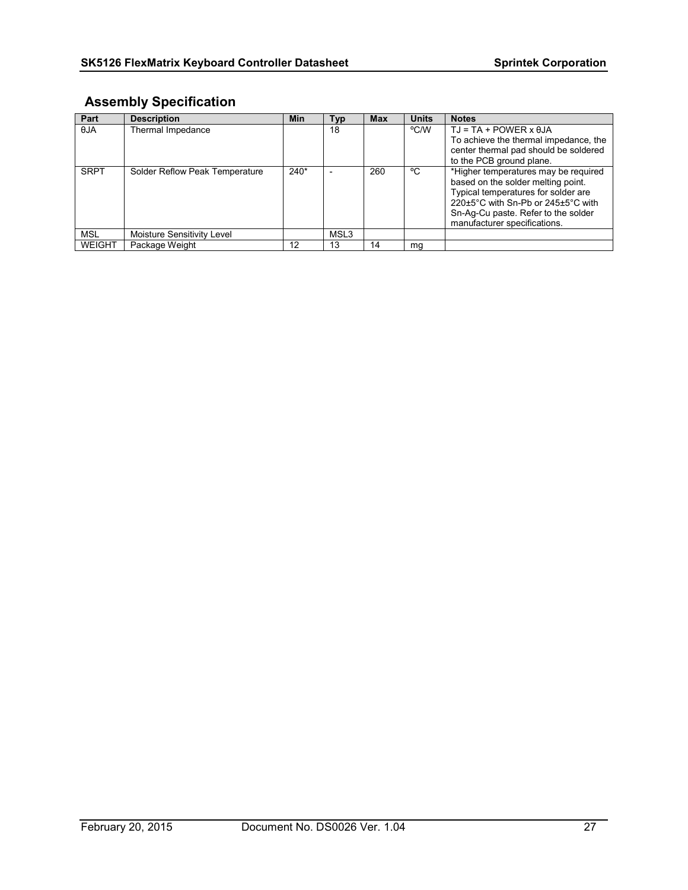## Assembly Specification

| Part          | <b>Description</b>             | Min    | Typ              | <b>Max</b> | <b>Units</b> | <b>Notes</b>                                                                                                                                                                                                                   |
|---------------|--------------------------------|--------|------------------|------------|--------------|--------------------------------------------------------------------------------------------------------------------------------------------------------------------------------------------------------------------------------|
| $\theta$ JA   | Thermal Impedance              |        | 18               |            | °C/W         | $TJ = TA + POWER \times \theta JA$<br>To achieve the thermal impedance, the<br>center thermal pad should be soldered<br>to the PCB ground plane.                                                                               |
| <b>SRPT</b>   | Solder Reflow Peak Temperature | $240*$ |                  | 260        | °C           | *Higher temperatures may be required<br>based on the solder melting point.<br>Typical temperatures for solder are<br>220±5°C with Sn-Pb or 245±5°C with<br>Sn-Ag-Cu paste. Refer to the solder<br>manufacturer specifications. |
| <b>MSL</b>    | Moisture Sensitivity Level     |        | MSL <sub>3</sub> |            |              |                                                                                                                                                                                                                                |
| <b>WEIGHT</b> | Package Weight                 | 12     | 13               | 14         | mg           |                                                                                                                                                                                                                                |